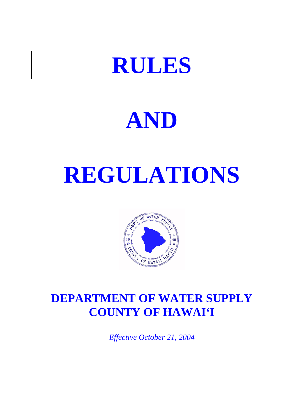# **RULES**<br>AND



# **DEPARTMENT OF WATER SUPPLY COUNTY OF HAWAI'I**

*Effective October 21, 2004*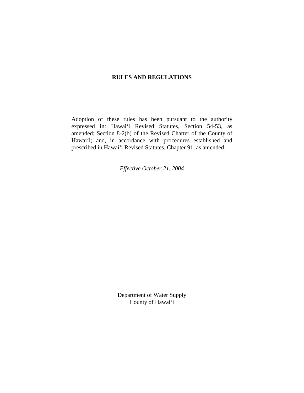## **RULES AND REGULATIONS**

 Adoption of these rules has been pursuant to the authority amended; Section 8-2(b) of the Revised Charter of the County of expressed in: Hawai'i Revised Statutes, Section 54-53, as Hawai'i; and, in accordance with procedures established and prescribed in Hawai'i Revised Statutes, Chapter 91, as amended.

*Effective October 21, 2004* 

Department of Water Supply<br>County of Hawai'i County of Hawai'i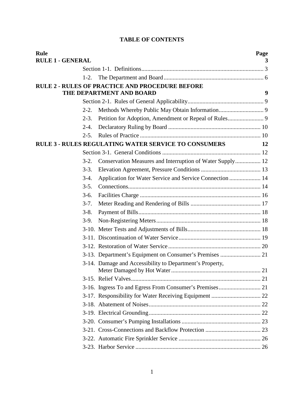|  | <b>TABLE OF CONTENTS</b> |
|--|--------------------------|
|--|--------------------------|

| <b>TABLE OF CONTENTS</b> |                                                                                    |      |
|--------------------------|------------------------------------------------------------------------------------|------|
| <b>Rule</b>              |                                                                                    | Page |
| <b>RULE 1 - GENERAL</b>  |                                                                                    | 3    |
|                          |                                                                                    |      |
| $1-2.$                   |                                                                                    |      |
|                          | <b>RULE 2 - RULES OF PRACTICE AND PROCEDURE BEFORE</b><br>THE DEPARTMENT AND BOARD | 9    |
|                          |                                                                                    |      |
| $2 - 2$ .                |                                                                                    |      |
| $2 - 3$ .                |                                                                                    |      |
| $2 - 4.$                 |                                                                                    |      |
| $2 - 5$ .                |                                                                                    |      |
|                          | <b>RULE 3 - RULES REGULATING WATER SERVICE TO CONSUMERS</b>                        | 12   |
|                          |                                                                                    |      |
| $3-2.$                   | Conservation Measures and Interruption of Water Supply 12                          |      |
| $3-3.$                   |                                                                                    |      |
| $3-4.$                   | Application for Water Service and Service Connection  14                           |      |
| $3-5.$                   |                                                                                    |      |
| $3-6.$                   |                                                                                    |      |
| $3-7.$                   |                                                                                    |      |
| $3-8.$                   |                                                                                    |      |
| $3-9.$                   |                                                                                    |      |
|                          |                                                                                    |      |
|                          |                                                                                    |      |
|                          |                                                                                    |      |
|                          | 3-13. Department's Equipment on Consumer's Premises  21                            |      |
|                          | 3-14. Damage and Accessibility to Department's Property,                           |      |
|                          |                                                                                    |      |
|                          |                                                                                    |      |
|                          |                                                                                    |      |
|                          |                                                                                    |      |
|                          |                                                                                    |      |
|                          |                                                                                    |      |
|                          |                                                                                    |      |
|                          |                                                                                    |      |
|                          |                                                                                    |      |
|                          | 1                                                                                  |      |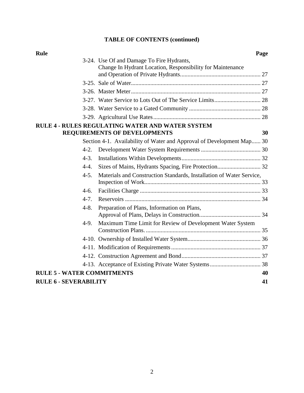# **TABLE OF CONTENTS (continued)**

| Rule                              |                                                                       | Page |
|-----------------------------------|-----------------------------------------------------------------------|------|
|                                   | 3-24. Use Of and Damage To Fire Hydrants,                             |      |
|                                   | Change In Hydrant Location, Responsibility for Maintenance            |      |
|                                   |                                                                       |      |
|                                   |                                                                       |      |
|                                   |                                                                       |      |
|                                   |                                                                       |      |
|                                   |                                                                       |      |
|                                   |                                                                       |      |
|                                   | <b>RULE 4 - RULES REGULATING WATER AND WATER SYSTEM</b>               |      |
|                                   | <b>REQUIREMENTS OF DEVELOPMENTS</b>                                   | 30   |
|                                   | Section 4-1. Availability of Water and Approval of Development Map 30 |      |
| $4-2.$                            |                                                                       |      |
| $4 - 3$ .                         |                                                                       |      |
| $4-4.$                            |                                                                       |      |
| $4-5.$                            | Materials and Construction Standards, Installation of Water Service,  |      |
|                                   |                                                                       |      |
| $4-6.$                            |                                                                       |      |
| $4-7$                             |                                                                       |      |
| $4 - 8.$                          | Preparation of Plans, Information on Plans,                           |      |
|                                   |                                                                       |      |
| $4-9.$                            | Maximum Time Limit for Review of Development Water System             |      |
|                                   |                                                                       |      |
|                                   |                                                                       |      |
|                                   |                                                                       |      |
|                                   |                                                                       |      |
|                                   |                                                                       |      |
| <b>RULE 5 - WATER COMMITMENTS</b> |                                                                       | 40   |
| <b>RULE 6 - SEVERABILITY</b>      |                                                                       | 41   |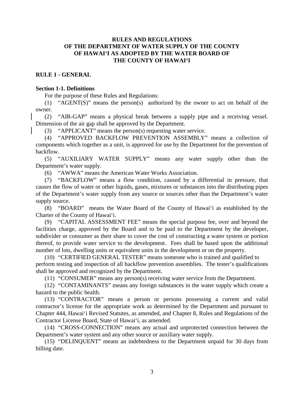# <span id="page-4-0"></span>**RULES AND REGULATIONS** OF HAWAI'I AS ADOPTED BY THE WATER BOARD OF THE COUNTY OF HAWAI'I RULES AND REGULATIONS<br>OF THE DEPARTMENT OF WATER SUPPLY OF THE COUNTY<br>OF HAWAI'I AS ADOPTED BY THE WATER BOARD OF<br>THE COUNTY OF HAWAI'I<br>RULE 1 - GENERAL

### **RULE 1 - GENERAL**

### **Section 1-1. Definitions**

For the purpose of these Rules and Regulations:

 (1) "AGENT(S)" means the person(s) authorized by the owner to act on behalf of the owner.

 (2) "AIR-GAP" means a physical break between a supply pipe and a receiving vessel. Dimension of the air gap shall be approved by the Department.

(3) "APPLICANT" means the person(s) requesting water service.

(4) "APPROVED BACKFLOW PREVENTION ASSEMBLY" means a collection of components which together as a unit, is approved for use by the Department for the prevention of backflow.

(5) "AUXILIARY WATER SUPPLY" means any water supply other than the Department's water supply.

(6) "AWWA" means the American Water Works Association.

 (7) "BACKFLOW" means a flow condition, caused by a differential in pressure, that causes the flow of water or other liquids, gases, mixtures or substances into the distributing pipes of the Department's water supply from any source or sources other than the Department's water supply source.

 (8) "BOARD" means the Water Board of the County of Hawai'i as established by the Charter of the County of Hawai'i.

 facilities charge, approved by the Board and to be paid to the Department by the developer, subdivider or consumer as their share to cover the cost of constructing a water system or portion (9) "CAPITAL ASSESSMENT FEE" means the special purpose fee, over and beyond the thereof, to provide water service to the development. Fees shall be based upon the additional number of lots, dwelling units or equivalent units in the development or on the property.

(10) "CERTIFIED GENERAL TESTER" means someone who is trained and qualified to perform testing and inspection of all backflow prevention assemblies. The tester's qualifications shall be approved and recognized by the Department.

(11) "CONSUMER" means any person(s) receiving water service from the Department.

 $(12)$  "CONTAMINANTS" means any foreign substances in the water supply which create a hazard to the public health.

 contractor's license for the appropriate work as determined by the Department and pursuant to (13) "CONTRACTOR" means a person or persons possessing a current and valid Chapter 444, Hawai'i Revised Statutes, as amended, and Chapter 8, Rules and Regulations of the Contractor License Board, State of Hawai'i, as amended.

(14) "CROSS-CONNECTION" means any actual and unprotected connection between the Department's water system and any other source or auxiliary water supply.

 (15) "DELINQUENT" means an indebtedness to the Department unpaid for 30 days from billing date.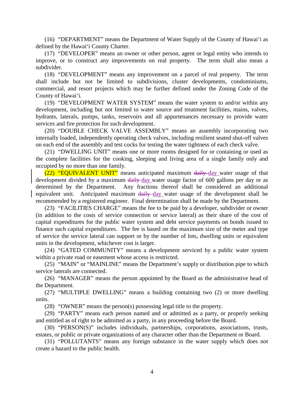(16) "DEPARTMENT" means the Department of Water Supply of the County of Hawai'i as defined by the Hawai'i County Charter.

 improve, or to construct any improvements on real property. The term shall also mean a (17) "DEVELOPER" means an owner or other person, agent or legal entity who intends to subdivider.

 shall include but not be limited to subdivisions, cluster developments, condominiums, (18) "DEVELOPMENT" means any improvement on a parcel of real property. The term commercial, and resort projects which may be further defined under the Zoning Code of the County of Hawai'i.

 (19) "DEVELOPMENT WATER SYSTEM" means the water system to and/or within any development, including but not limited to water source and treatment facilities, mains, valves, hydrants, laterals, pumps, tanks, reservoirs and all appurtenances necessary to provide water services and fire protection for such development.

(20) "DOUBLE CHECK VALVE ASSEMBLY" means an assembly incorporating two internally loaded, independently operating check valves, including resilient seated shut-off valves on each end of the assembly and test cocks for testing the water tightness of each check valve.

 the complete facilities for the cooking, sleeping and living area of a single family only and (21) "DWELLING UNIT" means one or more rooms designed for or containing or used as occupied by no more than one family.

 determined by the Department. Any fractions thereof shall be considered an additional (22) "EQUIVALENT UNIT" means anticipated maximum daily day water usage of that development divided by a maximum daily day water usage factor of 600 gallons per day or as equivalent unit. Anticipated maximum daily day water usage of the development shall be recommended by a registered engineer. Final determination shall be made by the Department.

 (23) "FACILITIES CHARGE" means the fee to be paid by a developer, subdivider or owner (in addition to the costs of service connection or service lateral) as their share of the cost of capital expenditures for the public water system and debt service payments on bonds issued to finance such capital expenditures. The fee is based on the maximum size of the meter and type of service the service lateral can support or by the number of lots, dwelling units or equivalent units in the development, whichever cost is larger.

(24) "GATED COMMUNITY" means a development serviced by a public water system within a private road or easement whose access is restricted.

 (25) "MAIN" or "MAINLINE" means the Department's supply or distribution pipe to which service laterals are connected.

(26) "MANAGER" means the person appointed by the Board as the administrative head of the Department.

(27) "MULTIPLE DWELLING" means a building containing two (2) or more dwelling units.

(28) "OWNER" means the person(s) possessing legal title to the property.

 (29) "PARTY" means each person named and or admitted as a party, or properly seeking and entitled as of right to be admitted as a party, in any proceeding before the Board.

(30) "PERSON(S)" includes individuals, partnerships, corporations, associations, trusts, estates, or public or private organizations of any character other than the Department or Board.

(31) "POLLUTANTS" means any foreign substance in the water supply which does not create a hazard to the public health.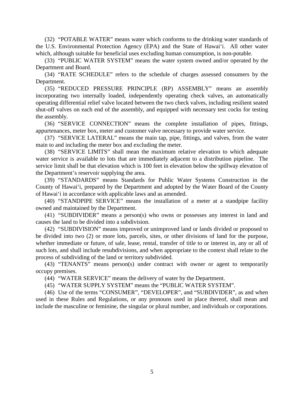(32) "POTABLE WATER" means water which conforms to the drinking water standards of the U.S. Environmental Protection Agency (EPA) and the State of Hawai'i. All other water which, although suitable for beneficial uses excluding human consumption, is non-potable.

 (33) "PUBLIC WATER SYSTEM" means the water system owned and/or operated by the Department and Board.

 (34) "RATE SCHEDULE" refers to the schedule of charges assessed consumers by the Department.

 (35) "REDUCED PRESSURE PRINCIPLE (RP) ASSEMBLY" means an assembly operating differential relief valve located between the two check valves, including resilient seated shut-off valves on each end of the assembly, and equipped with necessary test cocks for testing incorporating two internally loaded, independently operating check valves, an automatically the assembly.

(36) "SERVICE CONNECTION" means the complete installation of pipes, fittings, appurtenances, meter box, meter and customer valve necessary to provide water service.

 (37) "SERVICE LATERAL" means the main tap, pipe, fittings, and valves, from the water main to and including the meter box and excluding the meter.

 water service is available to lots that are immediately adjacent to a distribution pipeline. The service limit shall be that elevation which is 100 feet in elevation below the spillway elevation of (38) "SERVICE LIMITS" shall mean the maximum relative elevation to which adequate the Department's reservoir supplying the area.

 (39) "STANDARDS" means Standards for Public Water Systems Construction in the County of Hawai'i, prepared by the Department and adopted by the Water Board of the County of Hawai'i in accordance with applicable laws and as amended.

 (40) "STANDPIPE SERVICE" means the installation of a meter at a standpipe facility owned and maintained by the Department.

(41) "SUBDIVIDER" means a person(s) who owns or possesses any interest in land and causes the land to be divided into a subdivision.

 whether immediate or future, of sale, lease, rental, transfer of title to or interest in, any or all of such lots, and shall include resubdivisions, and when appropriate to the context shall relate to the (42) "SUBDIVISION" means improved or unimproved land or lands divided or proposed to be divided into two (2) or more lots, parcels, sites, or other divisions of land for the purpose, process of subdividing of the land or territory subdivided.

 (43) "TENANTS" means person(s) under contract with owner or agent to temporarily occupy premises.

(44) "WATER SERVICE" means the delivery of water by the Department.

(45) "WATER SUPPLY SYSTEM" means the "PUBLIC WATER SYSTEM".

(46) Use of the terms "CONSUMER", "DEVELOPER", and "SUBDIVIDER", as and when used in these Rules and Regulations, or any pronouns used in place thereof, shall mean and include the masculine or feminine, the singular or plural number, and individuals or corporations.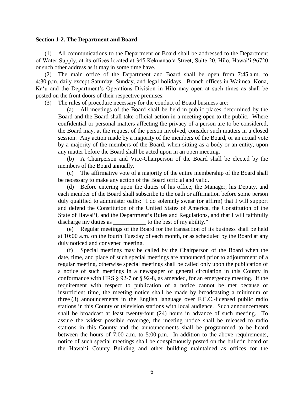### <span id="page-7-0"></span>**Section 1-2. The Department and Board**

 of Water Supply, at its offices located at 345 Kekūanaō'a Street, Suite 20, Hilo, Hawai'i 96720 (1) All communications to the Department or Board shall be addressed to the Department or such other address as it may in some time have.

 Ka'ū and the Department's Operations Division in Hilo may open at such times as shall be (2) The main office of the Department and Board shall be open from 7:45 a.m. to 4:30 p.m. daily except Saturday, Sunday, and legal holidays. Branch offices in Waimea, Kona, posted on the front doors of their respective premises.

(3) The rules of procedure necessary for the conduct of Board business are:

 (a) All meetings of the Board shall be held in public places determined by the Board and the Board shall take official action in a meeting open to the public. Where the Board may, at the request of the person involved, consider such matters in a closed session. Any action made by a majority of the members of the Board, or an actual vote by a majority of the members of the Board, when sitting as a body or an entity, upon confidential or personal matters affecting the privacy of a person are to be considered, any matter before the Board shall be acted upon in an open meeting.

 (b) A Chairperson and Vice-Chairperson of the Board shall be elected by the members of the Board annually.

 (c) The affirmative vote of a majority of the entire membership of the Board shall be necessary to make any action of the Board official and valid.

 (d) Before entering upon the duties of his office, the Manager, his Deputy, and each member of the Board shall subscribe to the oath or affirmation before some person duly qualified to administer oaths: "I do solemnly swear (or affirm) that I will support and defend the Constitution of the United States of America, the Constitution of the State of Hawai'i, and the Department's Rules and Regulations, and that I will faithfully discharge my duties as  $\qquad \qquad$  to the best of my ability."

 (e) Regular meetings of the Board for the transaction of its business shall be held at 10:00 a.m. on the fourth Tuesday of each month, or as scheduled by the Board at any duly noticed and convened meeting.

 (f) Special meetings may be called by the Chairperson of the Board when the date, time, and place of such special meetings are announced prior to adjournment of a a notice of such meetings in a newspaper of general circulation in this County in requirement with respect to publication of a notice cannot be met because of insufficient time, the meeting notice shall be made by broadcasting a minimum of three (3) announcements in the English language over F.C.C.-licensed public radio stations in this County and the announcements shall be programmed to be heard regular meeting, otherwise special meetings shall be called only upon the publication of conformance with HRS § 92-7 or § 92-8, as amended, for an emergency meeting. If the stations in this County or television stations with local audience. Such announcements shall be broadcast at least twenty-four (24) hours in advance of such meeting. To assure the widest possible coverage, the meeting notice shall be released to radio between the hours of 7:00 a.m. to 5:00 p.m. In addition to the above requirements, notice of such special meetings shall be conspicuously posted on the bulletin board of the Hawai'i County Building and other building maintained as offices for the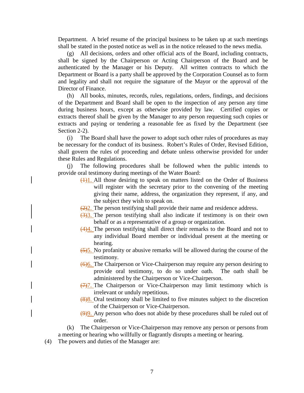Department. A brief resume of the principal business to be taken up at such meetings shall be stated in the posted notice as well as in the notice released to the news media.

 shall be signed by the Chairperson or Acting Chairperson of the Board and be and legality and shall not require the signature of the Mayor or the approval of the (g) All decisions, orders and other official acts of the Board, including contracts, authenticated by the Manager or his Deputy. All written contracts to which the Department or Board is a party shall be approved by the Corporation Counsel as to form Director of Finance.

 during business hours, except as otherwise provided by law. Certified copies or extracts and paying or tendering a reasonable fee as fixed by the Department (see (h) All books, minutes, records, rules, regulations, orders, findings, and decisions of the Department and Board shall be open to the inspection of any person any time extracts thereof shall be given by the Manager to any person requesting such copies or Section 2-2).

 be necessary for the conduct of its business. Robert's Rules of Order, Revised Edition, shall govern the rules of proceeding and debate unless otherwise provided for under (i) The Board shall have the power to adopt such other rules of procedures as may these Rules and Regulations.

 (j) The following procedures shall be followed when the public intends to provide oral testimony during meetings of the Water Board:

- will register with the secretary prior to the convening of the meeting giving their name, address, the organization they represent, if any, and  $\frac{(1)}{(1)}$ . All those desiring to speak on matters listed on the Order of Business the subject they wish to speak on.
- $\left(\frac{2}{2}\right)$ . The person testifying shall provide their name and residence address.
- $\frac{(3)}{2}$ . The person testifying shall also indicate if testimony is on their own behalf or as a representative of a group or organization.
- any individual Board member or individual present at the meeting or (4)4. The person testifying shall direct their remarks to the Board and not to hearing.
- $\frac{(5)5}{2}$ . No profanity or abusive remarks will be allowed during the course of the testimony.
- provide oral testimony, to do so under oath. The oath shall be (6)6. The Chairperson or Vice-Chairperson may require any person desiring to administered by the Chairperson or Vice-Chairperson.
- $\frac{7}{7}$ . The Chairperson or Vice-Chairperson may limit testimony which is irrelevant or unduly repetitious.
- $(8)$ 8. Oral testimony shall be limited to five minutes subject to the discretion of the Chairperson or Vice-Chairperson.
- (9)9. Any person who does not abide by these procedures shall be ruled out of order.
- (k) The Chairperson or Vice-Chairperson may remove any person or persons from a meeting or hearing who willfully or flagrantly disrupts a meeting or hearing.
- (4) The powers and duties of the Manager are: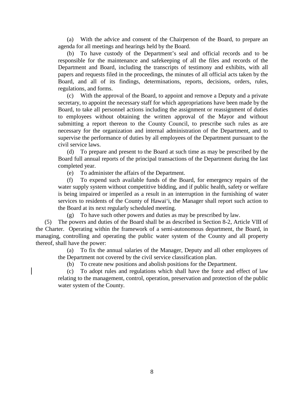(a) With the advice and consent of the Chairperson of the Board, to prepare an agenda for all meetings and hearings held by the Board.

 responsible for the maintenance and safekeeping of all the files and records of the (b) To have custody of the Department's seal and official records and to be Department and Board, including the transcripts of testimony and exhibits, with all papers and requests filed in the proceedings, the minutes of all official acts taken by the Board, and all of its findings, determinations, reports, decisions, orders, rules, regulations, and forms.

 (c) With the approval of the Board, to appoint and remove a Deputy and a private to employees without obtaining the written approval of the Mayor and without necessary for the organization and internal administration of the Department, and to supervise the performance of duties by all employees of the Department pursuant to the secretary, to appoint the necessary staff for which appropriations have been made by the Board, to take all personnel actions including the assignment or reassignment of duties submitting a report thereon to the County Council, to prescribe such rules as are civil service laws.

(d) To prepare and present to the Board at such time as may be prescribed by the Board full annual reports of the principal transactions of the Department during the last completed year.

(e) To administer the affairs of the Department.

 (f) To expend such available funds of the Board, for emergency repairs of the water supply system without competitive bidding, and if public health, safety or welfare is being impaired or imperiled as a result in an interruption in the furnishing of water services to residents of the County of Hawai'i, the Manager shall report such action to the Board at its next regularly scheduled meeting.

(g) To have such other powers and duties as may be prescribed by law.

 managing, controlling and operating the public water system of the County and all property (5) The powers and duties of the Board shall be as described in Section 8-2, Article VIII of the Charter. Operating within the framework of a semi-autonomous department, the Board, in thereof, shall have the power:

 (a) To fix the annual salaries of the Manager, Deputy and all other employees of the Department not covered by the civil service classification plan.

(b) To create new positions and abolish positions for the Department.

 (c) To adopt rules and regulations which shall have the force and effect of law relating to the management, control, operation, preservation and protection of the public water system of the County.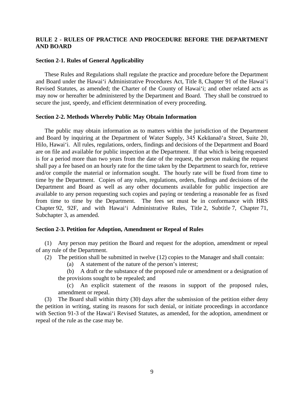### <span id="page-10-0"></span> **RULE 2 - RULES OF PRACTICE AND PROCEDURE BEFORE THE DEPARTMENT AND BOARD**

### **Section 2-1. Rules of General Applicability**

 and Board under the Hawai'i Administrative Procedures Act, Title 8, Chapter 91 of the Hawai'i Revised Statutes, as amended; the Charter of the County of Hawai'i; and other related acts as may now or hereafter be administered by the Department and Board. They shall be construed to These Rules and Regulations shall regulate the practice and procedure before the Department secure the just, speedy, and efficient determination of every proceeding.

### **Section 2-2. Methods Whereby Public May Obtain Information**

 Hilo, Hawai'i. All rules, regulations, orders, findings and decisions of the Department and Board are on file and available for public inspection at the Department. If that which is being requested is for a period more than two years from the date of the request, the person making the request shall pay a fee based on an hourly rate for the time taken by the Department to search for, retrieve from time to time by the Department. The fees set must be in conformance with HRS Chapter 92, 92F, and with Hawai'i Administrative Rules, Title 2, Subtitle 7, Chapter 71, The public may obtain information as to matters within the jurisdiction of the Department and Board by inquiring at the Department of Water Supply, 345 Kekūanaō'a Street, Suite 20, and/or compile the material or information sought. The hourly rate will be fixed from time to time by the Department. Copies of any rules, regulations, orders, findings and decisions of the Department and Board as well as any other documents available for public inspection are available to any person requesting such copies and paying or tendering a reasonable fee as fixed Subchapter 3, as amended.

### **Section 2-3. Petition for Adoption, Amendment or Repeal of Rules**

 (1) Any person may petition the Board and request for the adoption, amendment or repeal of any rule of the Department.

(2) The petition shall be submitted in twelve (12) copies to the Manager and shall contain:

- (a) A statement of the nature of the person's interest;
- (b) A draft or the substance of the proposed rule or amendment or a designation of the provisions sought to be repealed; and

(c) An explicit statement of the reasons in support of the proposed rules, amendment or repeal.

 (3) The Board shall within thirty (30) days after the submission of the petition either deny the petition in writing, stating its reasons for such denial, or initiate proceedings in accordance with Section 91-3 of the Hawai'i Revised Statutes, as amended, for the adoption, amendment or repeal of the rule as the case may be.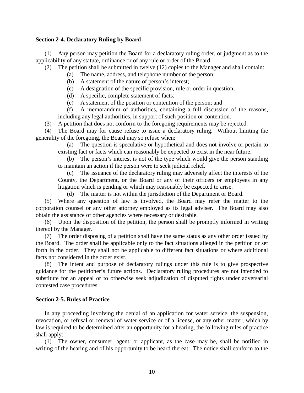### <span id="page-11-0"></span>**Section 2-4. Declaratory Ruling by Board**

 (1) Any person may petition the Board for a declaratory ruling order, or judgment as to the applicability of any statute, ordinance or of any rule or order of the Board.

(2) The petition shall be submitted in twelve (12) copies to the Manager and shall contain:

- (a) The name, address, and telephone number of the person;
- (b) A statement of the nature of person's interest;
- (c) A designation of the specific provision, rule or order in question;
- (d) A specific, complete statement of facts;
- (e) A statement of the position or contention of the person; and

 (f) A memorandum of authorities, containing a full discussion of the reasons, including any legal authorities, in support of such position or contention.

(3) A petition that does not conform to the foregoing requirements may be rejected.

 (4) The Board may for cause refuse to issue a declaratory ruling. Without limiting the generality of the foregoing, the Board may so refuse when:

(a) The question is speculative or hypothetical and does not involve or pertain to existing fact or facts which can reasonably be expected to exist in the near future.

(b) The person's interest is not of the type which would give the person standing to maintain an action if the person were to seek judicial relief.

 County, the Department, or the Board or any of their officers or employees in any (c) The issuance of the declaratory ruling may adversely affect the interests of the litigation which is pending or which may reasonably be expected to arise.

(d) The matter is not within the jurisdiction of the Department or Board.

 corporation counsel or any other attorney employed as its legal adviser. The Board may also (5) Where any question of law is involved, the Board may refer the matter to the obtain the assistance of other agencies where necessary or desirable.

 (6) Upon the disposition of the petition, the person shall be promptly informed in writing thereof by the Manager.

 (7) The order disposing of a petition shall have the same status as any other order issued by the Board. The order shall be applicable only to the fact situations alleged in the petition or set forth in the order. They shall not be applicable to different fact situations or where additional facts not considered in the order exist.

 (8) The intent and purpose of declaratory rulings under this rule is to give prospective substitute for an appeal or to otherwise seek adjudication of disputed rights under adversarial guidance for the petitioner's future actions. Declaratory ruling procedures are not intended to contested case procedures.

### **Section 2-5. Rules of Practice**

 In any proceeding involving the denial of an application for water service, the suspension, revocation, or refusal or renewal of water service or of a license, or any other matter, which by law is required to be determined after an opportunity for a hearing, the following rules of practice shall apply:

(1) The owner, consumer, agent, or applicant, as the case may be, shall be notified in writing of the hearing and of his opportunity to be heard thereat. The notice shall conform to the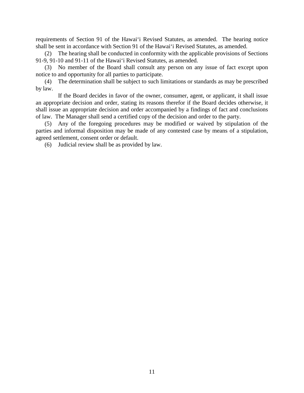requirements of Section 91 of the Hawai'i Revised Statutes, as amended. The hearing notice shall be sent in accordance with Section 91 of the Hawai'i Revised Statutes, as amended.

 (2) The hearing shall be conducted in conformity with the applicable provisions of Sections 91-9, 91-10 and 91-11 of the Hawai'i Revised Statutes, as amended.

 (3) No member of the Board shall consult any person on any issue of fact except upon notice to and opportunity for all parties to participate.

(4) The determination shall be subject to such limitations or standards as may be prescribed by law.

 an appropriate decision and order, stating its reasons therefor if the Board decides otherwise, it If the Board decides in favor of the owner, consumer, agent, or applicant, it shall issue shall issue an appropriate decision and order accompanied by a findings of fact and conclusions of law. The Manager shall send a certified copy of the decision and order to the party.

 (5) Any of the foregoing procedures may be modified or waived by stipulation of the agreed settlement, consent order or default. parties and informal disposition may be made of any contested case by means of a stipulation,

 $(6)$  Judicial review shall be as provided by law.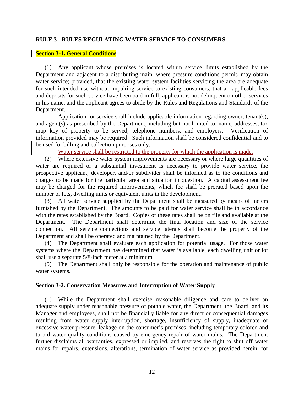### <span id="page-13-0"></span>**RULE 3 - RULES REGULATING WATER SERVICE TO CONSUMERS**

### **Section 3-1. General Conditions**

 water service; provided, that the existing water system facilities servicing the area are adequate (1) Any applicant whose premises is located within service limits established by the Department and adjacent to a distributing main, where pressure conditions permit, may obtain for such intended use without impairing service to existing consumers, that all applicable fees and deposits for such service have been paid in full, applicant is not delinquent on other services in his name, and the applicant agrees to abide by the Rules and Regulations and Standards of the Department.

 and agent(s) as prescribed by the Department, including but not limited to: name, addresses, tax Application for service shall include applicable information regarding owner, tenant(s), map key of property to be served, telephone numbers, and employers. Verification of information provided may be required. Such information shall be considered confidential and to be used for billing and collection purposes only.

Water service shall be restricted to the property for which the application is made.

 (2) Where extensive water system improvements are necessary or where large quantities of water are required or a substantial investment is necessary to provide water service, the charges to be made for the particular area and situation in question. A capital assessment fee prospective applicant, developer, and/or subdivider shall be informed as to the conditions and may be charged for the required improvements, which fee shall be prorated based upon the number of lots, dwelling units or equivalent units in the development.

 (3) All water service supplied by the Department shall be measured by means of meters Department. The Department shall determine the final location and size of the service connection. All service connections and service laterals shall become the property of the furnished by the Department. The amounts to be paid for water service shall be in accordance with the rates established by the Board. Copies of these rates shall be on file and available at the Department and shall be operated and maintained by the Department.

 (4) The Department shall evaluate each application for potential usage. For those water systems where the Department has determined that water is available, each dwelling unit or lot shall use a separate 5/8-inch meter at a minimum.

 (5) The Department shall only be responsible for the operation and maintenance of public water systems.

### **Section 3-2. Conservation Measures and Interruption of Water Supply**

 Manager and employees, shall not be financially liable for any direct or consequential damages resulting from water supply interruption, shortage, insufficiency of supply, inadequate or excessive water pressure, leakage on the consumer's premises, including temporary colored and further disclaims all warranties, expressed or implied, and reserves the right to shut off water mains for repairs, extensions, alterations, termination of water service as provided herein, for (1) While the Department shall exercise reasonable diligence and care to deliver an adequate supply under reasonable pressure of potable water, the Department, the Board, and its turbid water quality conditions caused by emergency repair of water mains. The Department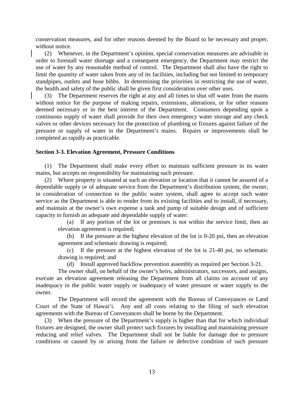<span id="page-14-0"></span>conservation measures, and for other reasons deemed by the Board to be necessary and proper, without notice.

 order to forestall water shortage and a consequent emergency, the Department may restrict the use of water by any reasonable method of control. The Department shall also have the right to limit the quantity of water taken from any of its facilities, including but not limited to temporary standpipes, outlets and hose bibbs. In determining the priorities in restricting the use of water, (2) Whenever, in the Department's opinion, special conservation measures are advisable in the health and safety of the public shall be given first consideration over other uses.

 (3) The Department reserves the right at any and all times to shut off water from the mains continuous supply of water shall provide for their own emergency water storage and any check pressure or supply of water in the Department's mains. Repairs or improvements shall be without notice for the purpose of making repairs, extensions, alterations, or for other reasons deemed necessary or in the best interest of the Department. Consumers depending upon a valves or other devices necessary for the protection of plumbing or fixtures against failure of the completed as rapidly as practicable.

### **Section 3-3. Elevation Agreement, Pressure Conditions**

(1) The Department shall make every effort to maintain sufficient pressure in its water mains, but accepts no responsibility for maintaining such pressure.

 in consideration of connection to the public water system, shall agree to accept such water and maintain at the owner's own expense a tank and pump of suitable design and of sufficient (2) Where property is situated at such an elevation or location that it cannot be assured of a dependable supply or of adequate service from the Department's distribution system, the owner, service as the Department is able to render from its existing facilities and to install, if necessary, capacity to furnish an adequate and dependable supply of water:

(a) If any portion of the lot or premises is not within the service limit, then an elevation agreement is required;

(b) If the pressure at the highest elevation of the lot is 0-20 psi, then an elevation agreement and schematic drawing is required;

(c) If the pressure at the highest elevation of the lot is 21-40 psi, no schematic drawing is required; and

(d) Install approved backflow prevention assembly as required per Section 3-21.

 execute an elevation agreement releasing the Department from all claims on account of any inadequacy in the public water supply or inadequacy of water pressure or water supply to the The owner shall, on behalf of the owner's heirs, administrators, successors, and assigns, owner.

 Court of the State of Hawai'i. Any and all costs relating to the filing of such elevation The Department will record the agreement with the Bureau of Conveyances or Land agreements with the Bureau of Conveyances shall be borne by the Department.

 reducing and relief valves. The Department shall not be liable for damage due to pressure conditions or caused by or arising from the failure or defective condition of such pressure (3) When the pressure of the Department's supply is higher than that for which individual fixtures are designed, the owner shall protect such fixtures by installing and maintaining pressure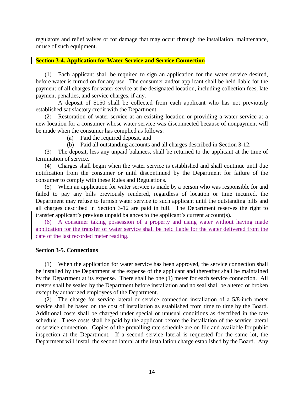<span id="page-15-0"></span>regulators and relief valves or for damage that may occur through the installation, maintenance, or use of such equipment.

### **Section 3-4. Application for Water Service and Service Connection**

 before water is turned on for any use. The consumer and/or applicant shall be held liable for the payment of all charges for water service at the designated location, including collection fees, late (1) Each applicant shall be required to sign an application for the water service desired, payment penalties, and service charges, if any.

 A deposit of \$150 shall be collected from each applicant who has not previously established satisfactory credit with the Department.

 (2) Restoration of water service at an existing location or providing a water service at a new location for a consumer whose water service was disconnected because of nonpayment will be made when the consumer has complied as follows:

(a) Paid the required deposit, and

(b) Paid all outstanding accounts and all charges described in Section 3-12.

 (3) The deposit, less any unpaid balances, shall be returned to the applicant at the time of termination of service.

 (4) Charges shall begin when the water service is established and shall continue until due notification from the consumer or until discontinued by the Department for failure of the consumer to comply with these Rules and Regulations.

 (5) When an application for water service is made by a person who was responsible for and failed to pay any bills previously rendered, regardless of location or time incurred, the Department may refuse to furnish water service to such applicant until the outstanding bills and all charges described in Section 3-12 are paid in full. The Department reserves the right to transfer applicant's previous unpaid balances to the applicant's current account(s).

application for the transfer of water service shall be held liable for the water delivered from the (6) A consumer taking possession of a property and using water without having made date of the last recorded meter reading.

### **Section 3-5. Connections**

 (1) When the application for water service has been approved, the service connection shall be installed by the Department at the expense of the applicant and thereafter shall be maintained by the Department at its expense. There shall be one (1) meter for each service connection. All meters shall be sealed by the Department before installation and no seal shall be altered or broken except by authorized employees of the Department.

 (2) The charge for service lateral or service connection installation of a 5/8-inch meter service shall be based on the cost of installation as established from time to time by the Board. or service connection. Copies of the prevailing rate schedule are on file and available for public inspection at the Department. If a second service lateral is requested for the same lot, the Additional costs shall be charged under special or unusual conditions as described in the rate schedule. These costs shall be paid by the applicant before the installation of the service lateral Department will install the second lateral at the installation charge established by the Board. Any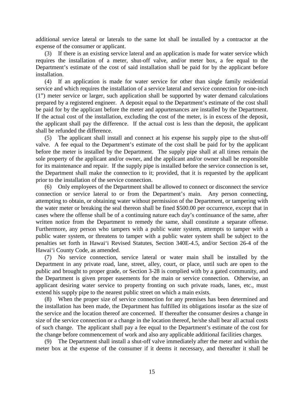additional service lateral or laterals to the same lot shall be installed by a contractor at the expense of the consumer or applicant.

 requires the installation of a meter, shut-off valve, and/or meter box, a fee equal to the Department's estimate of the cost of said installation shall be paid for by the applicant before (3) If there is an existing service lateral and an application is made for water service which installation.

 (4) If an application is made for water service for other than single family residential service and which requires the installation of a service lateral and service connection for one-inch prepared by a registered engineer. A deposit equal to the Department's estimate of the cost shall be paid for by the applicant before the meter and appurtenances are installed by the Department. the applicant shall pay the difference. If the actual cost is less than the deposit, the applicant (1") meter service or larger, such application shall be supported by water demand calculations If the actual cost of the installation, excluding the cost of the meter, is in excess of the deposit, shall be refunded the difference.

 valve. A fee equal to the Department's estimate of the cost shall be paid for by the applicant before the meter is installed by the Department. The supply pipe shall at all times remain the sole property of the applicant and/or owner, and the applicant and/or owner shall be responsible the Department shall make the connection to it; provided, that it is requested by the applicant (5) The applicant shall install and connect at his expense his supply pipe to the shut-off for its maintenance and repair. If the supply pipe is installed before the service connection is set, prior to the installation of the service connection.

 (6) Only employees of the Department shall be allowed to connect or disconnect the service connection or service lateral to or from the Department's main. Any person connecting, written notice from the Department to remedy the same, shall constitute a separate offense. attempting to obtain, or obtaining water without permission of the Department, or tampering with the water meter or breaking the seal thereon shall be fined \$500.00 per occurrence, except that in cases where the offense shall be of a continuing nature each day's continuance of the same, after Furthermore, any person who tampers with a public water system, attempts to tamper with a public water system, or threatens to tamper with a public water system shall be subject to the penalties set forth in Hawai'i Revised Statutes, Section 340E-4.5, and/or Section 26-4 of the Hawai'i County Code, as amended.

 Department in any private road, lane, street, alley, court, or place, until such are open to the public and brought to proper grade, or Section 3-28 is complied with by a gated community, and (7) No service connection, service lateral or water main shall be installed by the the Department is given proper easements for the main or service connection. Otherwise, an applicant desiring water service to property fronting on such private roads, lanes, etc., must extend his supply pipe to the nearest public street on which a main exists.

 (8) When the proper size of service connection for any premises has been determined and the installation has been made, the Department has fulfilled its obligations insofar as the size of of such change. The applicant shall pay a fee equal to the Department's estimate of the cost for the service and the location thereof are concerned. If thereafter the consumer desires a change in size of the service connection or a change in the location thereof, he/she shall bear all actual costs the change before commencement of work and also any applicable additional facilities charges.

 meter box at the expense of the consumer if it deems it necessary, and thereafter it shall be (9) The Department shall install a shut-off valve immediately after the meter and within the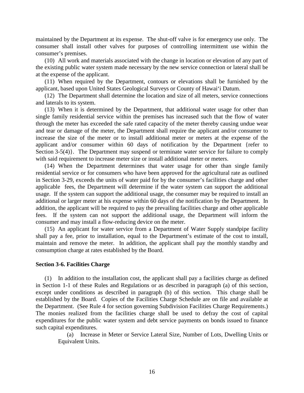<span id="page-17-0"></span> maintained by the Department at its expense. The shut-off valve is for emergency use only. The consumer shall install other valves for purposes of controlling intermittent use within the consumer's premises.

 (10) All work and materials associated with the change in location or elevation of any part of the existing public water system made necessary by the new service connection or lateral shall be at the expense of the applicant.

(11) When required by the Department, contours or elevations shall be furnished by the applicant, based upon United States Geological Surveys or County of Hawai'i Datum.

(12) The Department shall determine the location and size of all meters, service connections and laterals to its system.

 single family residential service within the premises has increased such that the flow of water through the meter has exceeded the safe rated capacity of the meter thereby causing undue wear and tear or damage of the meter, the Department shall require the applicant and/or consumer to applicant and/or consumer within 60 days of notification by the Department {refer to (13) When it is determined by the Department, that additional water usage for other than increase the size of the meter or to install additional meter or meters at the expense of the Section 3-5(4). The Department may suspend or terminate water service for failure to comply with said requirement to increase meter size or install additional meter or meters.

 residential service or for consumers who have been approved for the agricultural rate as outlined in Section 3-29, exceeds the units of water paid for by the consumer's facilities charge and other additional or larger meter at his expense within 60 days of the notification by the Department. In fees. If the system can not support the additional usage, the Department will inform the (14) When the Department determines that water usage for other than single family applicable fees, the Department will determine if the water system can support the additional usage. If the system can support the additional usage, the consumer may be required to install an addition, the applicant will be required to pay the prevailing facilities charge and other applicable consumer and may install a flow-reducing device on the meter.

 (15) An applicant for water service from a Department of Water Supply standpipe facility shall pay a fee, prior to installation, equal to the Department's estimate of the cost to install, maintain and remove the meter. In addition, the applicant shall pay the monthly standby and consumption charge at rates established by the Board.

### **Section 3-6. Facilities Charge**

 (1) In addition to the installation cost, the applicant shall pay a facilities charge as defined in Section 1-1 of these Rules and Regulations or as described in paragraph (a) of this section, except under conditions as described in paragraph (b) of this section. This charge shall be established by the Board. Copies of the Facilities Charge Schedule are on file and available at The monies realized from the facilities charge shall be used to defray the cost of capital expenditures for the public water system and debt service payments on bonds issued to finance the Department. (See Rule 4 for section governing Subdivision Facilities Charge Requirements.) such capital expenditures.

(a) Increase in Meter or Service Lateral Size, Number of Lots, Dwelling Units or Equivalent Units.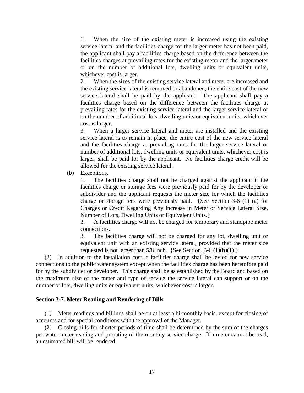<span id="page-18-0"></span> facilities charges at prevailing rates for the existing meter and the larger meter or on the number of additional lots, dwelling units or equivalent units, 1. When the size of the existing meter is increased using the existing service lateral and the facilities charge for the larger meter has not been paid, the applicant shall pay a facilities charge based on the difference between the whichever cost is larger.

 the existing service lateral is removed or abandoned, the entire cost of the new service lateral shall be paid by the applicant. The applicant shall pay a on the number of additional lots, dwelling units or equivalent units, whichever 2. When the sizes of the existing service lateral and meter are increased and facilities charge based on the difference between the facilities charge at prevailing rates for the existing service lateral and the larger service lateral or cost is larger.

 3. When a larger service lateral and meter are installed and the existing service lateral is to remain in place, the entire cost of the new service lateral larger, shall be paid for by the applicant. No facilities charge credit will be and the facilities charge at prevailing rates for the larger service lateral or number of additional lots, dwelling units or equivalent units, whichever cost is allowed for the existing service lateral.

(b) Exceptions.

 facilities charge or storage fees were previously paid for by the developer or subdivider and the applicant requests the meter size for which the facilities 1. The facilities charge shall not be charged against the applicant if the charge or storage fees were previously paid. {See Section 3-6 (1) (a) for Charges or Credit Regarding Any Increase in Meter or Service Lateral Size, Number of Lots, Dwelling Units or Equivalent Units.}

2. A facilities charge will not be charged for temporary and standpipe meter connections.

 3. The facilities charge will not be charged for any lot, dwelling unit or equivalent unit with an existing service lateral, provided that the meter size requested is not larger than  $5/8$  inch. {See Section. 3-6 (1)(b)(1).}

 (2) In addition to the installation cost, a facilities charge shall be levied for new service for by the subdivider or developer. This charge shall be as established by the Board and based on the maximum size of the meter and type of service the service lateral can support or on the connections to the public water system except when the facilities charge has been heretofore paid number of lots, dwelling units or equivalent units, whichever cost is larger.

### **Section 3-7. Meter Reading and Rendering of Bills**

 (1) Meter readings and billings shall be on at least a bi-monthly basis, except for closing of accounts and for special conditions with the approval of the Manager.

 (2) Closing bills for shorter periods of time shall be determined by the sum of the charges per water meter reading and prorating of the monthly service charge. If a meter cannot be read, an estimated bill will be rendered.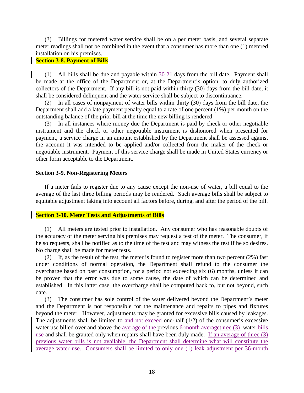<span id="page-19-0"></span> (3) Billings for metered water service shall be on a per meter basis, and several separate meter readings shall not be combined in the event that a consumer has more than one (1) metered installation on his premises.

### **Section 3-8. Payment of Bills**

 collectors of the Department. If any bill is not paid within thirty (30) days from the bill date, it (1) All bills shall be due and payable within  $30-21$  days from the bill date. Payment shall be made at the office of the Department or, at the Department's option, to duly authorized shall be considered delinquent and the water service shall be subject to discontinuance.

 (2) In all cases of nonpayment of water bills within thirty (30) days from the bill date, the Department shall add a late payment penalty equal to a rate of one percent (1%) per month on the outstanding balance of the prior bill at the time the new billing is rendered.

 (3) In all instances where money due the Department is paid by check or other negotiable instrument and the check or other negotiable instrument is dishonored when presented for the account it was intended to be applied and/or collected from the maker of the check or negotiable instrument. Payment of this service charge shall be made in United States currency or payment, a service charge in an amount established by the Department shall be assessed against other form acceptable to the Department.

### **Section 3-9. Non-Registering Meters**

 average of the last three billing periods may be rendered. Such average bills shall be subject to If a meter fails to register due to any cause except the non-use of water, a bill equal to the equitable adjustment taking into account all factors before, during, and after the period of the bill.

### **Section 3-10. Meter Tests and Adjustments of Bills**

 (1) All meters are tested prior to installation. Any consumer who has reasonable doubts of the accuracy of the meter serving his premises may request a test of the meter. The consumer, if he so requests, shall be notified as to the time of the test and may witness the test if he so desires. No charge shall be made for meter tests.

 (2) If, as the result of the test, the meter is found to register more than two percent (2%) fast under conditions of normal operation, the Department shall refund to the consumer the be proven that the error was due to some cause, the date of which can be determined and overcharge based on past consumption, for a period not exceeding six (6) months, unless it can established. In this latter case, the overcharge shall be computed back to, but not beyond, such date.

 (3) The consumer has sole control of the water delivered beyond the Department's meter beyond the meter. However, adjustments may be granted for excessive bills caused by leakages. previous water bills is not available, the Department shall determine what will constitute the average water use. Consumers shall be limited to only one (1) leak adjustment per 36-month and the Department is not responsible for the maintenance and repairs to pipes and fixtures The adjustments shall be limited to and not exceed one-half (1/2) of the consumer's excessive water use billed over and above the average of the previous  $6$ -month averagethree  $(3)$ -water bills use and shall be granted only when repairs shall have been duly made.  $\frac{1}{1}$  an average of three (3)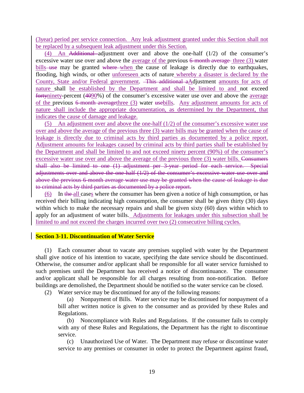<span id="page-20-0"></span>(3year) period per service connection. Any leak adjustment granted under this Section shall not be replaced by a subsequent leak adjustment under this Section.

 $(4)$  An Additional adjustment over and above the one-half  $(1/2)$  of the consumer's bills use may be granted where when the cause of leakage is directly due to earthquakes, nature shall include the appropriate documentation, as determined by the Department, that excessive water use over and above the average of the previous 6-month average three (3) water flooding, high winds, or other unforeseen acts of nature whereby a disaster is declared by the County, State and/or Federal government. This additional aAdjustment amounts for acts of nature shall be established by the Department and shall be limited to and not exceed fortyninety-percent (4090%) of the consumer's excessive water use over and above the average of the previous 6-month averagethree (3) water usebills. Any adjustment amounts for acts of indicates the cause of damage and leakage.

(5) An adjustment over and above the one-half  $(1/2)$  of the consumer's excessive water use leakage is directly due to criminal acts by third parties as documented by a police report. the Department and shall be limited to and not exceed ninety percent (90%) of the consumer's excessive water use over and above the average of the previous three (3) water bills. Consumers adjustments over and above the one-half (1/2) of the consumer's excessive water use over and over and above the average of the previous three (3) water bills may be granted when the cause of Adjustment amounts for leakages caused by criminal acts by third parties shall be established by shall also be limited to one (1) adjustment per 3-year period for each service. Special above the previous 6-month average water use may be granted when the cause of leakage is due to criminal acts by third parties as documented by a police report.

(6) In the all cases where the consumer has been given a notice of high consumption, or has received their billing indicating high consumption, the consumer shall be given thirty (30) days apply for an adjustment of water bills. Adjustments for leakages under this subsection shall be within which to make the necessary repairs and shall be given sixty (60) days within which to limited to and not exceed the charges incurred over two (2) consecutive billing cycles.

### **Section 3-11. Discontinuation of Water Service**

 (1) Each consumer about to vacate any premises supplied with water by the Department Otherwise, the consumer and/or applicant shall be responsible for all water service furnished to such premises until the Department has received a notice of discontinuance. The consumer shall give notice of his intention to vacate, specifying the date service should be discontinued. and/or applicant shall be responsible for all charges resulting from non-notification. Before buildings are demolished, the Department should be notified so the water service can be closed.

(2) Water service may be discontinued for any of the following reasons:

 (a) Nonpayment of Bills. Water service may be discontinued for nonpayment of a bill after written notice is given to the consumer and as provided by these Rules and Regulations.

(b) Noncompliance with Rules and Regulations. If the consumer fails to comply with any of these Rules and Regulations, the Department has the right to discontinue service.

 (c) Unauthorized Use of Water. The Department may refuse or discontinue water service to any premises or consumer in order to protect the Department against fraud,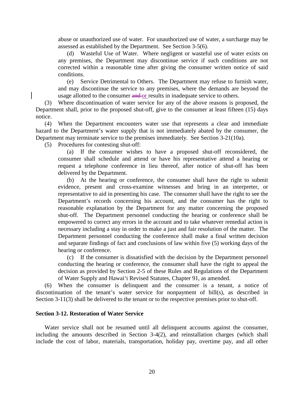<span id="page-21-0"></span> abuse or unauthorized use of water. For unauthorized use of water, a surcharge may be assessed as established by the Department. See Section 3-5(6).

 (d) Wasteful Use of Water. Where negligent or wasteful use of water exists on any premises, the Department may discontinue service if such conditions are not corrected within a reasonable time after giving the consumer written notice of said conditions.

(e) Service Detrimental to Others. The Department may refuse to furnish water, and may discontinue the service to any premises, where the demands are beyond the usage allotted to the consumer and or results in inadequate service to others.

 (3) Where discontinuation of water service for any of the above reasons is proposed, the Department shall, prior to the proposed shut-off, give to the consumer at least fifteen (15) days notice.

 hazard to the Department's water supply that is not immediately abated by the consumer, the (4) When the Department encounters water use that represents a clear and immediate Department may terminate service to the premises immediately. See Section 3-21(10a).

(5) Procedures for contesting shut-off:

 consumer shall schedule and attend or have his representative attend a hearing or request a telephone conference in lieu thereof, after notice of shut-off has been (a) If the consumer wishes to have a proposed shut-off reconsidered, the delivered by the Department.

 (b) At the hearing or conference, the consumer shall have the right to submit evidence, present and cross-examine witnesses and bring in an interpreter, or shut-off. The Department personnel conducting the hearing or conference shall be empowered to correct any errors in the account and to take whatever remedial action is necessary including a stay in order to make a just and fair resolution of the matter. The Department personnel conducting the conference shall make a final written decision and separate findings of fact and conclusions of law within five (5) working days of the hearing or conference. representative to aid in presenting his case. The consumer shall have the right to see the Department's records concerning his account, and the consumer has the right to reasonable explanation by the Department for any matter concerning the proposed

 (c) If the consumer is dissatisfied with the decision by the Department personnel conducting the hearing or conference, the consumer shall have the right to appeal the decision as provided by Section 2-5 of these Rules and Regulations of the Department of Water Supply and Hawai'i Revised Statutes, Chapter 91, as amended.

 (6) When the consumer is delinquent and the consumer is a tenant, a notice of discontinuation of the tenant's water service for nonpayment of bill(s), as described in Section 3-11(3) shall be delivered to the tenant or to the respective premises prior to shut-off.

### **Section 3-12. Restoration of Water Service**

 Water service shall not be resumed until all delinquent accounts against the consumer, include the cost of labor, materials, transportation, holiday pay, overtime pay, and all other including the amounts described in Section 3-4(2), and reinstallation charges (which shall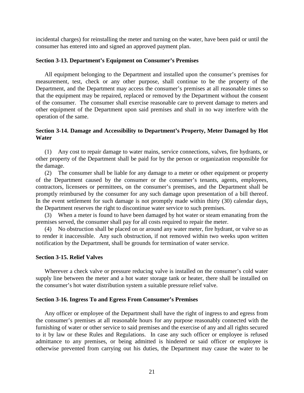<span id="page-22-0"></span> incidental charges) for reinstalling the meter and turning on the water, have been paid or until the consumer has entered into and signed an approved payment plan.

### **Section 3-13. Department's Equipment on Consumer's Premises**

 measurement, test, check or any other purpose, shall continue to be the property of the that the equipment may be repaired, replaced or removed by the Department without the consent of the consumer. The consumer shall exercise reasonable care to prevent damage to meters and All equipment belonging to the Department and installed upon the consumer's premises for Department, and the Department may access the consumer's premises at all reasonable times so other equipment of the Department upon said premises and shall in no way interfere with the operation of the same.

### **Section 3-14. Damage and Accessibility to Department's Property, Meter Damaged by Hot Water**

 (1) Any cost to repair damage to water mains, service connections, valves, fire hydrants, or other property of the Department shall be paid for by the person or organization responsible for the damage.

 (2) The consumer shall be liable for any damage to a meter or other equipment or property contractors, licensees or permittees, on the consumer's premises, and the Department shall be promptly reimbursed by the consumer for any such damage upon presentation of a bill thereof. of the Department caused by the consumer or the consumer's tenants, agents, employees, In the event settlement for such damage is not promptly made within thirty (30) calendar days, the Department reserves the right to discontinue water service to such premises.

 (3) When a meter is found to have been damaged by hot water or steam emanating from the premises served, the consumer shall pay for all costs required to repair the meter.

 to render it inaccessible. Any such obstruction, if not removed within two weeks upon written (4) No obstruction shall be placed on or around any water meter, fire hydrant, or valve so as notification by the Department, shall be grounds for termination of water service.

### **Section 3-15. Relief Valves**

 supply line between the meter and a hot water storage tank or heater, there shall be installed on Wherever a check valve or pressure reducing valve is installed on the consumer's cold water the consumer's hot water distribution system a suitable pressure relief valve.

### **Section 3-16. Ingress To and Egress From Consumer's Premises**

 Any officer or employee of the Department shall have the right of ingress to and egress from the consumer's premises at all reasonable hours for any purpose reasonably connected with the to it by law or these Rules and Regulations. In case any such officer or employee is refused admittance to any premises, or being admitted is hindered or said officer or employee is furnishing of water or other service to said premises and the exercise of any and all rights secured otherwise prevented from carrying out his duties, the Department may cause the water to be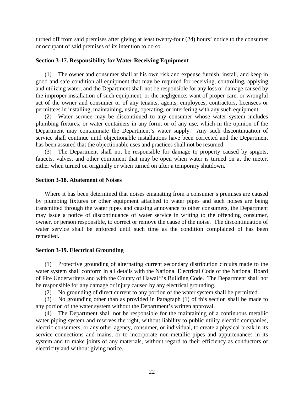<span id="page-23-0"></span> turned off from said premises after giving at least twenty-four (24) hours' notice to the consumer or occupant of said premises of its intention to do so.

### **Section 3-17. Responsibility for Water Receiving Equipment**

 the improper installation of such equipment, or the negligence, want of proper care, or wrongful (1) The owner and consumer shall at his own risk and expense furnish, install, and keep in good and safe condition all equipment that may be required for receiving, controlling, applying and utilizing water, and the Department shall not be responsible for any loss or damage caused by act of the owner and consumer or of any tenants, agents, employees, contractors, licensees or permittees in installing, maintaining, using, operating, or interfering with any such equipment.

 (2) Water service may be discontinued to any consumer whose water system includes Department may contaminate the Department's water supply. Any such discontinuation of plumbing fixtures, or water containers in any form, or of any use, which in the opinion of the service shall continue until objectionable installations have been corrected and the Department has been assured that the objectionable uses and practices shall not be resumed.

 (3) The Department shall not be responsible for damage to property caused by spigots, faucets, valves, and other equipment that may be open when water is turned on at the meter, either when turned on originally or when turned on after a temporary shutdown.

### **Section 3-18. Abatement of Noises**

 Where it has been determined that noises emanating from a consumer's premises are caused may issue a notice of discontinuance of water service in writing to the offending consumer, water service shall be enforced until such time as the condition complained of has been by plumbing fixtures or other equipment attached to water pipes and such noises are being transmitted through the water pipes and causing annoyance to other consumers, the Department owner, or person responsible, to correct or remove the cause of the noise. The discontinuation of remedied.

## **Section 3-19. Electrical Grounding**

 (1) Protective grounding of alternating current secondary distribution circuits made to the water system shall conform in all details with the National Electrical Code of the National Board of Fire Underwriters and with the County of Hawai'i's Building Code. The Department shall not be responsible for any damage or injury caused by any electrical grounding.

(2) No grounding of direct current to any portion of the water system shall be permitted.

(3) No grounding other than as provided in Paragraph (1) of this section shall be made to any portion of the water system without the Department's written approval.

 water piping system and reserves the right, without liability to public utility electric companies, service connections and mains, or to incorporate non-metallic pipes and appurtenances in its system and to make joints of any materials, without regard to their efficiency as conductors of (4) The Department shall not be responsible for the maintaining of a continuous metallic electric consumers, or any other agency, consumer, or individual, to create a physical break in its electricity and without giving notice.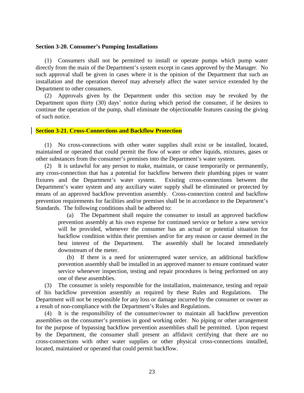### <span id="page-24-0"></span>**Section 3-20. Consumer's Pumping Installations**

 directly from the main of the Department's system except in cases approved by the Manager. No installation and the operation thereof may adversely affect the water service extended by the (1) Consumers shall not be permitted to install or operate pumps which pump water such approval shall be given in cases where it is the opinion of the Department that such an Department to other consumers.

 continue the operation of the pump, shall eliminate the objectionable features causing the giving (2) Approvals given by the Department under this section may be revoked by the Department upon thirty (30) days' notice during which period the consumer, if he desires to of such notice.

### **Section 3-21. Cross-Connections and Backflow Protection**

 (1) No cross-connections with other water supplies shall exist or be installed, located, maintained or operated that could permit the flow of water or other liquids, mixtures, gases or other substances from the consumer's premises into the Department's water system.

 any cross-connection that has a potential for backflow between their plumbing pipes or water (2) It is unlawful for any person to make, maintain, or cause temporarily or permanently, fixtures and the Department's water system. Existing cross-connections between the Department's water system and any auxiliary water supply shall be eliminated or protected by means of an approved backflow prevention assembly. Cross-connection control and backflow prevention requirements for facilities and/or premises shall be in accordance to the Department's Standards. The following conditions shall be adhered to:

 (a) The Department shall require the consumer to install an approved backflow prevention assembly at his own expense for continued service or before a new service will be provided, whenever the consumer has an actual or potential situation for backflow condition within their premises and/or for any reason or cause deemed in the best interest of the Department. The assembly shall be located immediately downstream of the meter.

 (b) If there is a need for uninterrupted water service, an additional backflow prevention assembly shall be installed in an approved manner to ensure continued water service whenever inspection, testing and repair procedures is being performed on any one of these assemblies.

 (3) The consumer is solely responsible for the installation, maintenance, testing and repair of his backflow prevention assembly as required by these Rules and Regulations. The Department will not be responsible for any loss or damage incurred by the consumer or owner as a result of non-compliance with the Department's Rules and Regulations.

 assemblies on the consumer's premises in good working order. No piping or other arrangement for the purpose of bypassing backflow prevention assemblies shall be permitted. Upon request by the Department, the consumer shall present an affidavit certifying that there are no (4) It is the responsibility of the consumer/owner to maintain all backflow prevention cross-connections with other water supplies or other physical cross-connections installed, located, maintained or operated that could permit backflow.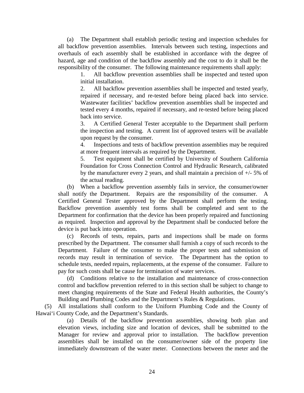overhauls of each assembly shall be established in accordance with the degree of (a) The Department shall establish periodic testing and inspection schedules for all backflow prevention assemblies. Intervals between such testing, inspections and hazard, age and condition of the backflow assembly and the cost to do it shall be the responsibility of the consumer. The following maintenance requirements shall apply:

> 1. All backflow prevention assemblies shall be inspected and tested upon initial installation.

> repaired if necessary, and re-tested before being placed back into service. repaired if necessary, and re-tested before being placed back into service. Wastewater facilities' backflow prevention assemblies shall be inspected and 2. All backflow prevention assemblies shall be inspected and tested yearly, tested every 4 months, repaired if necessary, and re-tested before being placed back into service.

> the inspection and testing. A current list of approved testers will be available 3. A Certified General Tester acceptable to the Department shall perform upon request by the consumer.

> 4. Inspections and tests of backflow prevention assemblies may be required at more frequent intervals as required by the Department.

> 5. Test equipment shall be certified by University of Southern California Foundation for Cross Connection Control and Hydraulic Research, calibrated by the manufacturer every 2 years, and shall maintain a precision of +/- 5% of the actual reading.

 Certified General Tester approved by the Department shall perform the testing. Backflow prevention assembly test forms shall be completed and sent to the as required. Inspection and approval by the Department shall be conducted before the (b) When a backflow prevention assembly fails in service, the consumer/owner shall notify the Department. Repairs are the responsibility of the consumer. A Department for confirmation that the device has been properly repaired and functioning device is put back into operation.

 (c) Records of tests, repairs, parts and inspections shall be made on forms prescribed by the Department. The consumer shall furnish a copy of such records to the Department. Failure of the consumer to make the proper tests and submission of Department. Failure of the consumer to make the proper tests and submission of records may result in termination of service. The Department has the option to schedule tests, needed repairs, replacements, at the expense of the consumer. Failure to pay for such costs shall be cause for termination of water services.

 meet changing requirements of the State and Federal Health authorities, the County's (d) Conditions relative to the installation and maintenance of cross-connection control and backflow prevention referred to in this section shall be subject to change to Building and Plumbing Codes and the Department's Rules & Regulations.

(5) All installations shall conform to the Uniform Plumbing Code and the County of Hawai'i County Code, and the Department's Standards.

 elevation views, including size and location of devices, shall be submitted to the Manager for review and approval prior to installation. The backflow prevention immediately downstream of the water meter. Connections between the meter and the (a) Details of the backflow prevention assemblies, showing both plan and assemblies shall be installed on the consumer/owner side of the property line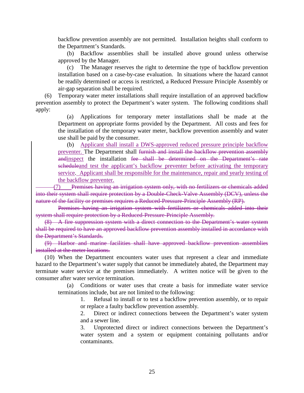backflow prevention assembly are not permitted. Installation heights shall conform to the Department's Standards.

 (b) Backflow assemblies shall be installed above ground unless otherwise approved by the Manager.

 (c) The Manager reserves the right to determine the type of backflow prevention installation based on a case-by-case evaluation. In situations where the hazard cannot be readily determined or access is restricted, a Reduced Pressure Principle Assembly or air-gap separation shall be required.

(6) Temporary water meter installations shall require installation of an approved backflow prevention assembly to protect the Department's water system. The following conditions shall apply:

 Department on appropriate forms provided by the Department. All costs and fees for (a) Applications for temporary meter installations shall be made at the the installation of the temporary water meter, backflow prevention assembly and water use shall be paid by the consumer.

(b) Applicant shall install a DWS-approved reduced pressure principle backflow preventer. The Department shall furnish and install the backflow prevention assembly andinspect the installation fee shall be determined on the Department's rate scheduleand test the applicant's backflow preventer before activating the temporary service. Applicant shall be responsible for the maintenance, repair and yearly testing of the backflow preventer.

(7) Premises having an irrigation system only, with no fertilizers or chemicals added into their system shall require protection by a Double-Check-Valve Assembly (DCV), unless the nature of the facility or premises requires a Reduced-Pressure-Principle Assembly (RP).

 Premises having an irrigation system with fertilizers or chemicals added into their system shall require protection by a Reduced-Pressure-Principle Assembly.

 (8) A fire suppression system with a direct connection to the Department's water system shall be required to have an approved backflow prevention assembly installed in accordance with the Department's Standards.

 (9) Harbor and marine facilities shall have approved backflow prevention assemblies installed at the meter locations.

 terminate water service at the premises immediately. A written notice will be given to the (10) When the Department encounters water uses that represent a clear and immediate hazard to the Department's water supply that cannot be immediately abated, the Department may consumer after water service termination.

(a) Conditions or water uses that create a basis for immediate water service terminations include, but are not limited to the following:

> 1. Refusal to install or to test a backflow prevention assembly, or to repair or replace a faulty backflow prevention assembly.

> 2. Direct or indirect connections between the Department's water system and a sewer line.

> water system and a system or equipment containing pollutants and/or 3. Unprotected direct or indirect connections between the Department's contaminants.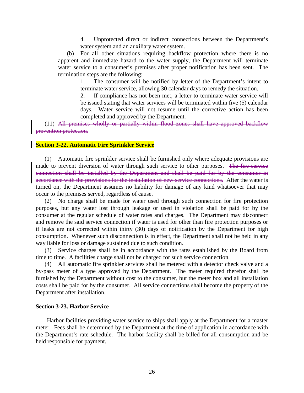4. Unprotected direct or indirect connections between the Department's water system and an auxiliary water system.

<span id="page-27-0"></span> (b) For all other situations requiring backflow protection where there is no apparent and immediate hazard to the water supply, the Department will terminate water service to a consumer's premises after proper notification has been sent. The termination steps are the following:

> 1. The consumer will be notified by letter of the Department's intent to terminate water service, allowing 30 calendar days to remedy the situation.

> 2. If compliance has not been met, a letter to terminate water service will be issued stating that water services will be terminated within five (5) calendar days. Water service will not resume until the corrective action has been completed and approved by the Department.

(11) All premises wholly or partially within flood zones shall have approved backflow prevention protection.

### **Section 3-22. Automatic Fire Sprinkler Service**

 (1) Automatic fire sprinkler service shall be furnished only where adequate provisions are made to prevent diversion of water through such service to other purposes. The fire service accordance with the provisions for the installation of new service connections. After the water is turned on, the Department assumes no liability for damage of any kind whatsoever that may connection shall be installed by the Department and shall be paid for by the consumer in occur to the premises served, regardless of cause.

 (2) No charge shall be made for water used through such connection for fire protection purposes, but any water lost through leakage or used in violation shall be paid for by the consumer at the regular schedule of water rates and charges. The Department may disconnect if leaks are not corrected within thirty (30) days of notification by the Department for high and remove the said service connection if water is used for other than fire protection purposes or consumption. Whenever such disconnection is in effect, the Department shall not be held in any way liable for loss or damage sustained due to such condition.

 (3) Service charges shall be in accordance with the rates established by the Board from time to time. A facilities charge shall not be charged for such service connection.

 by-pass meter of a type approved by the Department. The meter required therefor shall be (4) All automatic fire sprinkler services shall be metered with a detector check valve and a furnished by the Department without cost to the consumer, but the meter box and all installation costs shall be paid for by the consumer. All service connections shall become the property of the Department after installation.

### **Section 3-23. Harbor Service**

 meter. Fees shall be determined by the Department at the time of application in accordance with the Department's rate schedule. The harbor facility shall be billed for all consumption and be Harbor facilities providing water service to ships shall apply at the Department for a master held responsible for payment.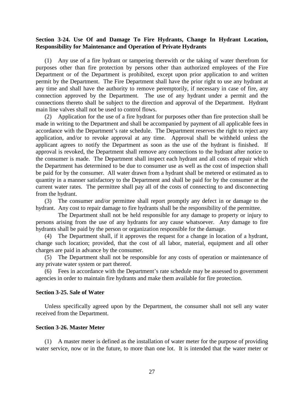### <span id="page-28-0"></span>**Section 3-24. Use Of and Damage To Fire Hydrants, Change In Hydrant Location, Responsibility for Maintenance and Operation of Private Hydrants**

 purposes other than fire protection by persons other than authorized employees of the Fire Department or of the Department is prohibited, except upon prior application to and written permit by the Department. The Fire Department shall have the prior right to use any hydrant at any time and shall have the authority to remove peremptorily, if necessary in case of fire, any (1) Any use of a fire hydrant or tampering therewith or the taking of water therefrom for connection approved by the Department. The use of any hydrant under a permit and the connections thereto shall be subject to the direction and approval of the Department. Hydrant main line valves shall not be used to control flows.

 (2) Application for the use of a fire hydrant for purposes other than fire protection shall be made in writing to the Department and shall be accompanied by payment of all applicable fees in accordance with the Department's rate schedule. The Department reserves the right to reject any application, and/or to revoke approval at any time. Approval shall be withheld unless the applicant agrees to notify the Department as soon as the use of the hydrant is finished. If the Department has determined to be due to consumer use as well as the cost of inspection shall be paid for by the consumer. All water drawn from a hydrant shall be metered or estimated as to current water rates. The permittee shall pay all of the costs of connecting to and disconnecting approval is revoked, the Department shall remove any connections to the hydrant after notice to the consumer is made. The Department shall inspect each hydrant and all costs of repair which quantity in a manner satisfactory to the Department and shall be paid for by the consumer at the from the hydrant.

 (3) The consumer and/or permittee shall report promptly any defect in or damage to the hydrant. Any cost to repair damage to fire hydrants shall be the responsibility of the permittee.

 The Department shall not be held responsible for any damage to property or injury to persons arising from the use of any hydrants for any cause whatsoever. Any damage to fire hydrants shall be paid by the person or organization responsible for the damage.

 (4) The Department shall, if it approves the request for a change in location of a hydrant, change such location; provided, that the cost of all labor, material, equipment and all other charges are paid in advance by the consumer.

 (5) The Department shall not be responsible for any costs of operation or maintenance of any private water system or part thereof.

 (6) Fees in accordance with the Department's rate schedule may be assessed to government agencies in order to maintain fire hydrants and make them available for fire protection.

### **Section 3-25. Sale of Water**

 Unless specifically agreed upon by the Department, the consumer shall not sell any water received from the Department.

### **Section 3-26. Master Meter**

 (1) A master meter is defined as the installation of water meter for the purpose of providing water service, now or in the future, to more than one lot. It is intended that the water meter or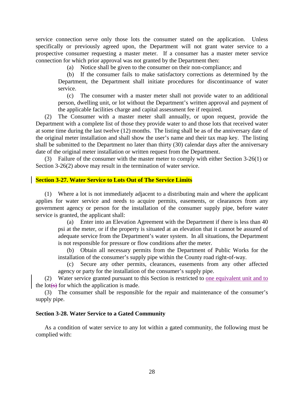<span id="page-29-0"></span> service connection serve only those lots the consumer stated on the application. Unless specifically or previously agreed upon, the Department will not grant water service to a prospective consumer requesting a master meter. If a consumer has a master meter service connection for which prior approval was not granted by the Department then:

(a) Notice shall be given to the consumer on their non-compliance; and

 (b) If the consumer fails to make satisfactory corrections as determined by the Department, the Department shall initiate procedures for discontinuance of water service.

 person, dwelling unit, or lot without the Department's written approval and payment of (c) The consumer with a master meter shall not provide water to an additional the applicable facilities charge and capital assessment fee if required.

 (2) The Consumer with a master meter shall annually, or upon request, provide the Department with a complete list of those they provide water to and those lots that received water at some time during the last twelve (12) months. The listing shall be as of the anniversary date of the original meter installation and shall show the user's name and their tax map key. The listing shall be submitted to the Department no later than thirty (30) calendar days after the anniversary date of the original meter installation or written request from the Department.

 (3) Failure of the consumer with the master meter to comply with either Section 3-26(1) or Section 3-26(2) above may result in the termination of water service.

### **Section 3-27. Water Service to Lots Out of The Service Limits**

 (1) Where a lot is not immediately adjacent to a distributing main and where the applicant applies for water service and needs to acquire permits, easements, or clearances from any government agency or person for the installation of the consumer supply pipe, before water service is granted, the applicant shall:

(a) Enter into an Elevation Agreement with the Department if there is less than 40 psi at the meter, or if the property is situated at an elevation that it cannot be assured of adequate service from the Department's water system. In all situations, the Department is not responsible for pressure or flow conditions after the meter.

(b) Obtain all necessary permits from the Department of Public Works for the installation of the consumer's supply pipe within the County road right-of-way.

(c) Secure any other permits, clearances, easements from any other affected agency or party for the installation of the consumer's supply pipe.

(2) Water service granted pursuant to this Section is restricted to one equivalent unit and to the lot $(s)$  for which the application is made.

 (3) The consumer shall be responsible for the repair and maintenance of the consumer's supply pipe.

### **Section 3-28. Water Service to a Gated Community**

As a condition of water service to any lot within a gated community, the following must be complied with: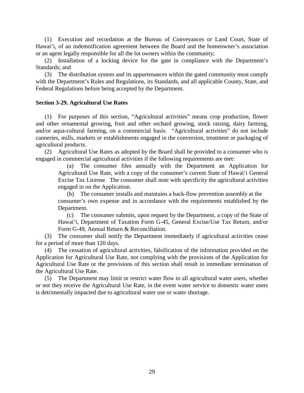(1) Execution and recordation at the Bureau of Conveyances or Land Court, State of Hawai'i, of an indemnification agreement between the Board and the homeowner's association or an agent legally responsible for all the lot owners within the community;

(2) Installation of a locking device for the gate in compliance with the Department's Standards; and

 with the Department's Rules and Regulations, its Standards, and all applicable County, State, and (3) The distribution system and its appurtenances within the gated community must comply Federal Regulations before being accepted by the Department.

### **Section 3-29. Agricultural Use Rates**

 canneries, mills, markets or establishments engaged in the conversion, treatment or packaging of (1) For purposes of this section, "Agricultural activities" means crop production, flower and other ornamental growing, fruit and other orchard growing, stock raising, dairy farming, and/or aqua-cultural farming, on a commercial basis. "Agricultural activities" do not include agricultural products.

(2) Agricultural Use Rates as adopted by the Board shall be provided to a consumer who is engaged in commercial agricultural activities if the following requirements are met:

 (a) The consumer files annually with the Department an Application for Agricultural Use Rate, with a copy of the consumer's current State of Hawai'i General Excise Tax License. The consumer shall note with specificity the agricultural activities engaged in on the Application.

(b) The consumer installs and maintains a back-flow prevention assembly at the consumer's own expense and in accordance with the requirements established by the Department.

 (c) The consumer submits, upon request by the Department, a copy of the State of Hawai'i, Department of Taxation Form G-45, General Excise/Use Tax Return, and/or Form G-49, Annual Return & Reconciliation.

(3) The consumer shall notify the Department immediately if agricultural activities cease for a period of more than 120 days.

 Application for Agricultural Use Rate, not complying with the provisions of the Application for Agricultural Use Rate or the provisions of this section shall result in immediate termination of (4) The cessation of agricultural activities, falsification of the information provided on the the Agricultural Use Rate.

 or not they receive the Agricultural Use Rate, in the event water service to domestic water users (5) The Department may limit or restrict water flow to all agricultural water users, whether is detrimentally impacted due to agricultural water use or water shortage.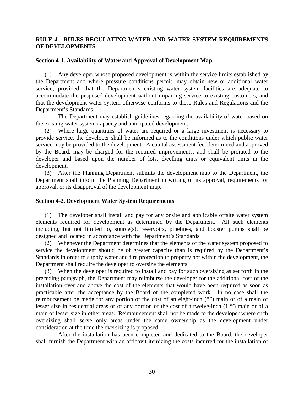### <span id="page-31-0"></span>**RULE 4 - RULES REGULATING WATER AND WATER SYSTEM REQUIREMENTS OF DEVELOPMENTS**

### **Section 4-1. Availability of Water and Approval of Development Map**

 the Department and where pressure conditions permit, may obtain new or additional water that the development water system otherwise conforms to these Rules and Regulations and the (1) Any developer whose proposed development is within the service limits established by service; provided, that the Department's existing water system facilities are adequate to accommodate the proposed development without impairing service to existing customers, and Department's Standards.

The Department may establish guidelines regarding the availability of water based on the existing water system capacity and anticipated development.

 (2) Where large quantities of water are required or a large investment is necessary to service may be provided to the development. A capital assessment fee, determined and approved by the Board, may be charged for the required improvements, and shall be prorated to the developer and based upon the number of lots, dwelling units or equivalent units in the provide service, the developer shall be informed as to the conditions under which public water development.

 Department shall inform the Planning Department in writing of its approval, requirements for (3) After the Planning Department submits the development map to the Department, the approval, or its disapproval of the development map.

### **Section 4-2. Development Water System Requirements**

 (1) The developer shall install and pay for any onsite and applicable offsite water system elements required for development as determined by the Department. All such elements including, but not limited to, source(s), reservoirs, pipelines, and booster pumps shall be designed and located in accordance with the Department's Standards.

 Standards in order to supply water and fire protection to property not within the development, the (2) Whenever the Department determines that the elements of the water system proposed to service the development should be of greater capacity than is required by the Department's Department shall require the developer to oversize the elements.

 (3) When the developer is required to install and pay for such oversizing as set forth in the installation over and above the cost of the elements that would have been required as soon as practicable after the acceptance by the Board of the completed work. In no case shall the reimbursement be made for any portion of the cost of an eight-inch (8") main or of a main of lesser size in residential areas or of any portion of the cost of a twelve-inch (12") main or of a oversizing shall serve only areas under the same ownership as the development under preceding paragraph, the Department may reimburse the developer for the additional cost of the main of lesser size in other areas. Reimbursement shall not be made to the developer where such consideration at the time the oversizing is proposed.

 After the installation has been completed and dedicated to the Board, the developer shall furnish the Department with an affidavit itemizing the costs incurred for the installation of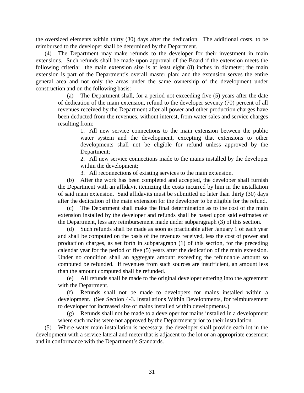the oversized elements within thirty (30) days after the dedication. The additional costs, to be reimbursed to the developer shall be determined by the Department.

 (4) The Department may make refunds to the developer for their investment in main extensions. Such refunds shall be made upon approval of the Board if the extension meets the following criteria: the main extension size is at least eight (8) inches in diameter; the main extension is part of the Department's overall master plan; and the extension serves the entire general area and not only the areas under the same ownership of the development under construction and on the following basis:

 revenues received by the Department after all power and other production charges have been deducted from the revenues, without interest, from water sales and service charges (a) The Department shall, for a period not exceeding five (5) years after the date of dedication of the main extension, refund to the developer seventy (70) percent of all resulting from:

> 1. All new service connections to the main extension between the public developments shall not be eligible for refund unless approved by the water system and the development, excepting that extensions to other Department;

> 2. All new service connections made to the mains installed by the developer within the development;

3. All reconnections of existing services to the main extension.

 (b) After the work has been completed and accepted, the developer shall furnish the Department with an affidavit itemizing the costs incurred by him in the installation of said main extension. Said affidavits must be submitted no later than thirty (30) days after the dedication of the main extension for the developer to be eligible for the refund.

 extension installed by the developer and refunds shall be based upon said estimates of The Department shall make the final determination as to the cost of the main the Department, less any reimbursement made under subparagraph (3) of this section.

 (d) Such refunds shall be made as soon as practicable after January 1 of each year and shall be computed on the basis of the revenues received, less the cost of power and production charges, as set forth in subparagraph (1) of this section, for the preceding Under no condition shall an aggregate amount exceeding the refundable amount so calendar year for the period of five (5) years after the dedication of the main extension. computed be refunded. If revenues from such sources are insufficient, an amount less than the amount computed shall be refunded.

 (e) All refunds shall be made to the original developer entering into the agreement with the Department.

 (f) Refunds shall not be made to developers for mains installed within a development. (See Section 4-3. Installations Within Developments, for reimbursement to developer for increased size of mains installed within developments.)

 (g) Refunds shall not be made to a developer for mains installed in a development where such mains were not approved by the Department prior to their installation.

 development with a service lateral and meter that is adjacent to the lot or an appropriate easement (5) Where water main installation is necessary, the developer shall provide each lot in the and in conformance with the Department's Standards.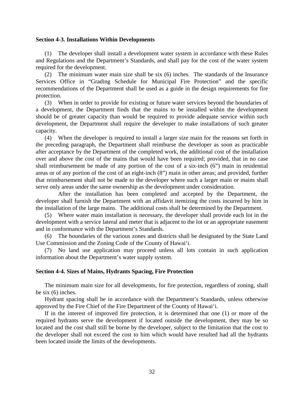### <span id="page-33-0"></span>**Section 4-3. Installations Within Developments**

 (1) The developer shall install a development water system in accordance with these Rules and Regulations and the Department's Standards, and shall pay for the cost of the water system required for the development.

(2) The minimum water main size shall be six (6) inches. The standards of the Insurance Services Office in "Grading Schedule for Municipal Fire Protection" and the specific recommendations of the Department shall be used as a guide in the design requirements for fire protection.

 (3) When in order to provide for existing or future water services beyond the boundaries of development, the Department shall require the developer to make installations of such greater a development, the Department finds that the mains to be installed within the development should be of greater capacity than would be required to provide adequate service within such capacity.

 after acceptance by the Department of the completed work, the additional cost of the installation over and above the cost of the mains that would have been required; provided, that in no case that reimbursement shall not be made to the developer where such a larger main or mains shall (4) When the developer is required to install a larger size main for the reasons set forth in the preceding paragraph, the Department shall reimburse the developer as soon as practicable shall reimbursement be made of any portion of the cost of a six-inch (6") main in residential areas or of any portion of the cost of an eight-inch (8") main in other areas; and provided, further serve only areas under the same ownership as the development under consideration.

 developer shall furnish the Department with an affidavit itemizing the costs incurred by him in After the installation has been completed and accepted by the Department, the the installation of the large mains. The additional costs shall be determined by the Department.

 (5) Where water main installation is necessary, the developer shall provide each lot in the development with a service lateral and meter that is adjacent to the lot or an appropriate easement and in conformance with the Department's Standards.

 (6) The boundaries of the various zones and districts shall be designated by the State Land Use Commission and the Zoning Code of the County of Hawai'i.

(7) No land use application may proceed unless all lots contain in such application information about the Department's water supply system.

### **Section 4-4. Sizes of Mains, Hydrants Spacing, Fire Protection**

The minimum main size for all developments, for fire protection, regardless of zoning, shall be six (6) inches.

 Hydrant spacing shall be in accordance with the Department's Standards, unless otherwise approved by the Fire Chief of the Fire Department of the County of Hawai'i.

 required hydrants serve the development if located outside the development, they may be so the developer shall not exceed the cost to him which would have resulted had all the hydrants If in the interest of improved fire protection, it is determined that one (1) or more of the located and the cost shall still be borne by the developer, subject to the limitation that the cost to been located inside the limits of the developments.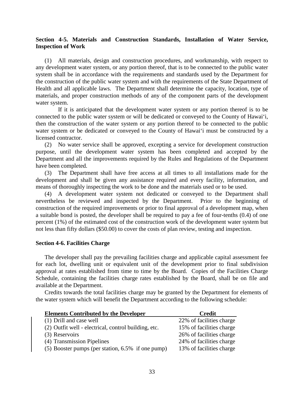### <span id="page-34-0"></span> **Section 4-5. Materials and Construction Standards, Installation of Water Service, Inspection of Work**

 any development water system, or any portion thereof, that is to be connected to the public water the construction of the public water system and with the requirements of the State Department of Health and all applicable laws. The Department shall determine the capacity, location, type of (1) All materials, design and construction procedures, and workmanship, with respect to system shall be in accordance with the requirements and standards used by the Department for materials, and proper construction methods of any of the component parts of the development water system.

 If it is anticipated that the development water system or any portion thereof is to be connected to the public water system or will be dedicated or conveyed to the County of Hawai'i, then the construction of the water system or any portion thereof to be connected to the public water system or be dedicated or conveyed to the County of Hawai'i must be constructed by a licensed contractor.

 Department and all the improvements required by the Rules and Regulations of the Department (2) No water service shall be approved, excepting a service for development construction purpose, until the development water system has been completed and accepted by the have been completed.

 (3) The Department shall have free access at all times to all installations made for the development and shall be given any assistance required and every facility, information, and means of thoroughly inspecting the work to be done and the materials used or to be used.

 (4) A development water system not dedicated or conveyed to the Department shall nevertheless be reviewed and inspected by the Department. Prior to the beginning of construction of the required improvements or prior to final approval of a development map, when a suitable bond is posted, the developer shall be required to pay a fee of four-tenths (0.4) of one percent (1%) of the estimated cost of the construction work of the development water system but not less than fifty dollars (\$50.00) to cover the costs of plan review, testing and inspection.

### **Section 4-6. Facilities Charge**

 The developer shall pay the prevailing facilities charge and applicable capital assessment fee approval at rates established from time to time by the Board. Copies of the Facilities Charge Schedule, containing the facilities charge rates established by the Board, shall be on file and for each lot, dwelling unit or equivalent unit of the development prior to final subdivision available at the Department.

 Credits towards the total facilities charge may be granted by the Department for elements of the water system which will benefit the Department according to the following schedule:

| <b>Elements Contributed by the Developer</b>         | Credit                   |
|------------------------------------------------------|--------------------------|
| (1) Drill and case well                              | 22% of facilities charge |
| (2) Outfit well - electrical, control building, etc. | 15% of facilities charge |
| (3) Reservoirs                                       | 26% of facilities charge |
| (4) Transmission Pipelines                           | 24% of facilities charge |
| (5) Booster pumps (per station, 6.5% if one pump)    | 13% of facilities charge |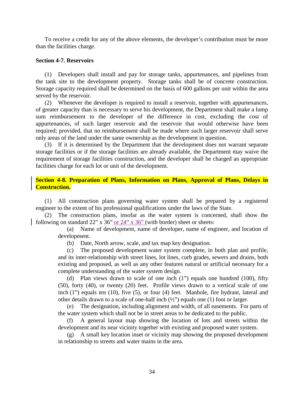<span id="page-35-0"></span> To receive a credit for any of the above elements, the developer's contribution must be more than the facilities charge.

### **Section 4-7. Reservoirs**

 Storage capacity required shall be determined on the basis of 600 gallons per unit within the area (1) Developers shall install and pay for storage tanks, appurtenances, and pipelines from the tank site to the development property. Storage tanks shall be of concrete construction. served by the reservoir.

 (2) Whenever the developer is required to install a reservoir, together with appurtenances, of greater capacity than is necessary to serve his development, the Department shall make a lump sum reimbursement to the developer of the difference in cost, excluding the cost of required; provided, that no reimbursement shall be made where such larger reservoir shall serve appurtenances, of such larger reservoir and the reservoir that would otherwise have been only areas of the land under the same ownership as the development in question.

 storage facilities or if the storage facilities are already available, the Department may waive the (3) If it is determined by the Department that the development does not warrant separate requirement of storage facilities construction, and the developer shall be charged an appropriate facilities charge for each lot or unit of the development.

### **Section 4-8. Preparation of Plans, Information on Plans, Approval of Plans, Delays in Construction.**

(1) All construction plans governing water system shall be prepared by a registered engineer to the extent of his professional qualifications under the laws of the State.

(2) The construction plans, insofar as the water system is concerned, shall show the following on standard 22" x 36" or 24" x 36" (with border) sheet or sheets:

 (a) Name of development, name of developer, name of engineer, and location of development.

(b) Date, North arrow, scale, and tax map key designation.

 existing and proposed, as well as any other features natural or artificial necessary for a (c) The proposed development water system complete, in both plan and profile, and its inter-relationship with street lines, lot lines, curb grades, sewers and drains, both complete understanding of the water system design.

 inch (1") equals ten (10), five (5), or four (4) feet. Manhole, fire hydrant, lateral and (d) Plan views drawn to scale of one inch (1") equals one hundred (100), fifty (50), forty (40), or twenty (20) feet. Profile views drawn to a vertical scale of one other details drawn to a scale of one-half inch  $(\frac{1}{2})$  equals one (1) foot or larger.

(e) The designation, including alignment and width, of all easements. For parts of the water system which shall not be in street areas to be dedicated to the public.

 (f) A general layout map showing the location of lots and streets within the development and its near vicinity together with existing and proposed water system.

(g) A small key location inset or vicinity map showing the proposed development in relationship to streets and water mains in the area.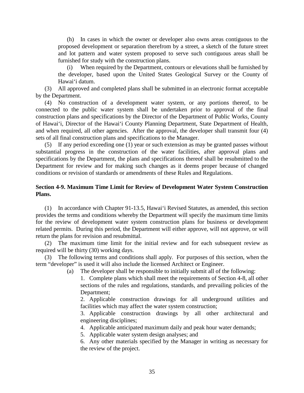<span id="page-36-0"></span> (h) In cases in which the owner or developer also owns areas contiguous to the and lot pattern and water system proposed to serve such contiguous areas shall be proposed development or separation therefrom by a street, a sketch of the future street furnished for study with the construction plans.

(i) When required by the Department, contours or elevations shall be furnished by the developer, based upon the United States Geological Survey or the County of Hawai'i datum.

(3) All approved and completed plans shall be submitted in an electronic format acceptable by the Department.

 (4) No construction of a development water system, or any portions thereof, to be of Hawai'i, Director of the Hawai'i County Planning Department, State Department of Health, and when required, all other agencies. After the approval, the developer shall transmit four (4) connected to the public water system shall be undertaken prior to approval of the final construction plans and specifications by the Director of the Department of Public Works, County sets of all final construction plans and specifications to the Manager.

 substantial progress in the construction of the water facilities, after approval plans and specifications by the Department, the plans and specifications thereof shall be resubmitted to the Department for review and for making such changes as it deems proper because of changed (5) If any period exceeding one (1) year or such extension as may be granted passes without conditions or revision of standards or amendments of these Rules and Regulations.

### **Section 4-9. Maximum Time Limit for Review of Development Water System Construction Plans.**

 provides the terms and conditions whereby the Department will specify the maximum time limits (1) In accordance with Chapter 91-13.5, Hawai'i Revised Statutes, as amended, this section for the review of development water system construction plans for business or development related permits. During this period, the Department will either approve, will not approve, or will return the plans for revision and resubmittal.

(2) The maximum time limit for the initial review and for each subsequent review as required will be thirty (30) working days.

 (3) The following terms and conditions shall apply. For purposes of this section, when the term "developer" is used it will also include the licensed Architect or Engineer.

(a) The developer shall be responsible to initially submit all of the following:

 sections of the rules and regulations, standards, and prevailing policies of the 1. Complete plans which shall meet the requirements of Section 4-8, all other Department;

2. Applicable construction drawings for all underground utilities and facilities which may affect the water system construction;

3. Applicable construction drawings by all other architectural and engineering disciplines;

4. Applicable anticipated maximum daily and peak hour water demands;

5. Applicable water system design analyses; and

 6. Any other materials specified by the Manager in writing as necessary for the review of the project.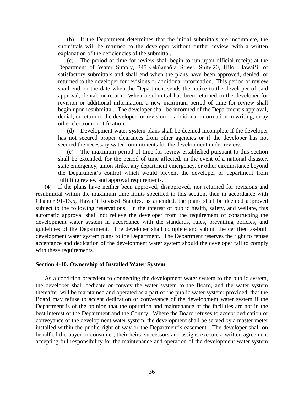<span id="page-37-0"></span> (b) If the Department determines that the initial submittals are incomplete, the submittals will be returned to the developer without further review, with a written explanation of the deficiencies of the submittal.

 satisfactory submittals and shall end when the plans have been approved, denied, or returned to the developer for revisions or additional information. This period of review revision or additional information, a new maximum period of time for review shall (c) The period of time for review shall begin to run upon official receipt at the Department of Water Supply, 345 Kekūanaō'a Street, Suite 20, Hilo, Hawai'i, of shall end on the date when the Department sends the notice to the developer of said approval, denial, or return. When a submittal has been returned to the developer for begin upon resubmittal. The developer shall be informed of the Department's approval, denial, or return to the developer for revision or additional information in writing, or by other electronic notification.

 (d) Development water system plans shall be deemed incomplete if the developer has not secured proper clearances from other agencies or if the developer has not secured the necessary water commitments for the development under review.

 (e) The maximum period of time for review established pursuant to this section shall be extended, for the period of time affected, in the event of a national disaster, state emergency, union strike, any department emergency, or other circumstance beyond the Department's control which would prevent the developer or department from fulfilling review and approval requirements.

 Chapter 91-13.5, Hawai'i Revised Statutes, as amended, the plans shall be deemed approved automatic approval shall not relieve the developer from the requirement of constructing the guidelines of the Department. The developer shall complete and submit the certified as-built development water system plans to the Department. The Department reserves the right to refuse acceptance and dedication of the development water system should the developer fail to comply (4) If the plans have neither been approved, disapproved, nor returned for revisions and resubmittal within the maximum time limits specified in this section, then in accordance with subject to the following reservations. In the interest of public health, safety, and welfare, this development water system in accordance with the standards, rules, prevailing policies, and with these requirements.

### **Section 4-10. Ownership of Installed Water System**

 As a condition precedent to connecting the development water system to the public system, the developer shall dedicate or convey the water system to the Board, and the water system Department is of the opinion that the operation and maintenance of the facilities are not in the best interest of the Department and the County. Where the Board refuses to accept dedication or  conveyance of the development water system, the development shall be served by a master meter behalf of the buyer or consumer, their heirs, successors and assigns execute a written agreement accepting full responsibility for the maintenance and operation of the development water system thereafter will be maintained and operated as a part of the public water system; provided, that the Board may refuse to accept dedication or conveyance of the development water system if the installed within the public right-of-way or the Department's easement. The developer shall on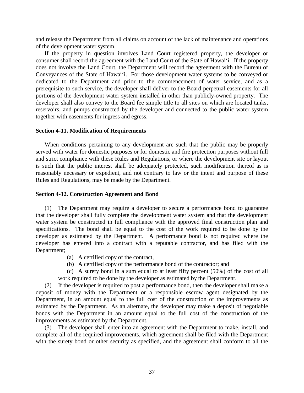<span id="page-38-0"></span>and release the Department from all claims on account of the lack of maintenance and operations of the development water system.

 If the property in question involves Land Court registered property, the developer or consumer shall record the agreement with the Land Court of the State of Hawai'i. If the property does not involve the Land Court, the Department will record the agreement with the Bureau of Conveyances of the State of Hawai'i. For those development water systems to be conveyed or prerequisite to such service, the developer shall deliver to the Board perpetual easements for all developer shall also convey to the Board fee simple title to all sites on which are located tanks, reservoirs, and pumps constructed by the developer and connected to the public water system dedicated to the Department and prior to the commencement of water service, and as a portions of the development water system installed in other than publicly-owned property. The together with easements for ingress and egress.

### **Section 4-11. Modification of Requirements**

 When conditions pertaining to any development are such that the public may be properly served with water for domestic purposes or for domestic and fire protection purposes without full is such that the public interest shall be adequately protected, such modification thereof as is and strict compliance with these Rules and Regulations, or where the development site or layout reasonably necessary or expedient, and not contrary to law or the intent and purpose of these Rules and Regulations, may be made by the Department.

### **Section 4-12. Construction Agreement and Bond**

 water system be constructed in full compliance with the approved final construction plan and specifications. The bond shall be equal to the cost of the work required to be done by the (1) The Department may require a developer to secure a performance bond to guarantee that the developer shall fully complete the development water system and that the development developer as estimated by the Department. A performance bond is not required where the developer has entered into a contract with a reputable contractor, and has filed with the Department;

- (a) A certified copy of the contract,
- (b) A certified copy of the performance bond of the contractor; and
- (c) A surety bond in a sum equal to at least fifty percent (50%) of the cost of all work required to be done by the developer as estimated by the Department.

 (2) If the developer is required to post a performance bond, then the developer shall make a Department, in an amount equal to the full cost of the construction of the improvements as estimated by the Department. As an alternate, the developer may make a deposit of negotiable bonds with the Department in an amount equal to the full cost of the construction of the deposit of money with the Department or a responsible escrow agent designated by the improvements as estimated by the Department.

 (3) The developer shall enter into an agreement with the Department to make, install, and with the surety bond or other security as specified, and the agreement shall conform to all the complete all of the required improvements, which agreement shall be filed with the Department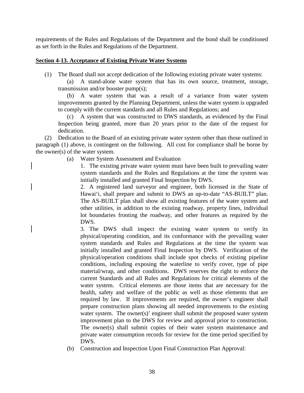<span id="page-39-0"></span> requirements of the Rules and Regulations of the Department and the bond shall be conditioned as set forth in the Rules and Regulations of the Department.

### **Section 4-13. Acceptance of Existing Private Water Systems**

(1) The Board shall not accept dedication of the following existing private water systems:

(a) A stand-alone water system that has its own source, treatment, storage, transmission and/or booster pump(s);

 (b) A water system that was a result of a variance from water system improvements granted by the Planning Department, unless the water system is upgraded to comply with the current standards and all Rules and Regulations; and

(c) A system that was constructed to DWS standards, as evidenced by the Final Inspection being granted, more than 20 years prior to the date of the request for dedication.

 (2) Dedication to the Board of an existing private water system other than those outlined in paragraph (1) above, is contingent on the following. All cost for compliance shall be borne by the owner(s) of the water system.

(a) Water System Assessment and Evaluation

 system standards and the Rules and Regulations at the time the system was 1. The existing private water system must have been built to prevailing water initially installed and granted Final Inspection by DWS.

 lot boundaries fronting the roadway, and other features as required by the 2. A registered land surveyor and engineer, both licensed in the State of Hawai'i, shall prepare and submit to DWS an up-to-date "AS-BUILT" plan. The AS-BUILT plan shall show all existing features of the water system and other utilities, in addition to the existing roadway, property lines, individual DWS.

 3. The DWS shall inspect the existing water system to verify its system standards and Rules and Regulations at the time the system was initially installed and granted Final Inspection by DWS. Verification of the physical/operation conditions shall include spot checks of existing pipeline conditions, including exposing the waterline to verify cover, type of pipe material/wrap, and other conditions. DWS reserves the right to enforce the current Standards and all Rules and Regulations for critical elements of the water system. Critical elements are those items that are necessary for the health, safety and welfare of the public as well as those elements that are prepare construction plans showing all needed improvements to the existing The owner(s) shall submit copies of their water system maintenance and physical/operating condition, and its conformance with the prevailing water required by law. If improvements are required, the owner's engineer shall water system. The owner(s)' engineer shall submit the proposed water system improvement plan to the DWS for review and approval prior to construction. private water consumption records for review for the time period specified by DWS.

(b) Construction and Inspection Upon Final Construction Plan Approval: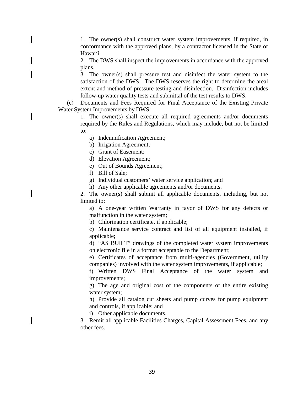1. The owner(s) shall construct water system improvements, if required, in conformance with the approved plans, by a contractor licensed in the State of Hawai'i.

2. The DWS shall inspect the improvements in accordance with the approved plans.

 satisfaction of the DWS. The DWS reserves the right to determine the areal 3. The owner(s) shall pressure test and disinfect the water system to the extent and method of pressure testing and disinfection. Disinfection includes follow-up water quality tests and submittal of the test results to DWS.

(c) Documents and Fees Required for Final Acceptance of the Existing Private Water System Improvements by DWS:

> 1. The owner(s) shall execute all required agreements and/or documents required by the Rules and Regulations, which may include, but not be limited to:

- a) Indemnification Agreement;
- b) Irrigation Agreement;
- c) Grant of Easement;
- d) Elevation Agreement;
- e) Out of Bounds Agreement;
- f) Bill of Sale;
- g) Individual customers' water service application; and
- h) Any other applicable agreements and/or documents.

 h) Any other applicable agreements and/or documents.2. The owner(s) shall submit all applicable documents, including, but not limited to:

a) A one-year written Warranty in favor of DWS for any defects or malfunction in the water system;

b) Chlorination certificate, if applicable;

c) Maintenance service contract and list of all equipment installed, if applicable;

d) "AS BUILT" drawings of the completed water system improvements on electronic file in a format acceptable to the Department;

 e) Certificates of acceptance from multi-agencies (Government, utility companies) involved with the water system improvements, if applicable;

 f) Written DWS Final Acceptance of the water system and improvements;

g) The age and original cost of the components of the entire existing water system;

h) Provide all catalog cut sheets and pump curves for pump equipment and controls, if applicable; and

i) Other applicable documents.

 3. Remit all applicable Facilities Charges, Capital Assessment Fees, and any other fees.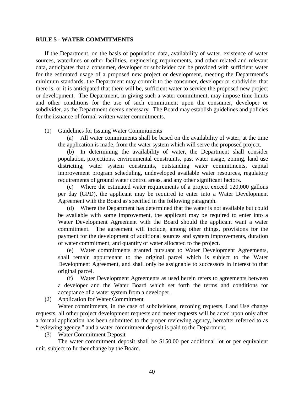### <span id="page-41-0"></span>**RULE 5 - WATER COMMITMENTS**

 If the Department, on the basis of population data, availability of water, existence of water sources, waterlines or other facilities, engineering requirements, and other related and relevant data, anticipates that a consumer, developer or subdivider can be provided with sufficient water minimum standards, the Department may commit to the consumer, developer or subdivider that there is, or it is anticipated that there will be, sufficient water to service the proposed new project subdivider, as the Department deems necessary. The Board may establish guidelines and policies for the estimated usage of a proposed new project or development, meeting the Department's or development. The Department, in giving such a water commitment, may impose time limits and other conditions for the use of such commitment upon the consumer, developer or for the issuance of formal written water commitments.

(1) Guidelines for Issuing Water Commitments

 (a) All water commitments shall be based on the availability of water, at the time the application is made, from the water system which will serve the proposed project.

 (b) In determining the availability of water, the Department shall consider districting, water system constraints, outstanding water commitments, capital population, projections, environmental constraints, past water usage, zoning, land use improvement program scheduling, undeveloped available water resources, regulatory requirements of ground water control areas, and any other significant factors.

(c) Where the estimated water requirements of a project exceed 120,000 gallons per day (GPD), the applicant may be required to enter into a Water Development Agreement with the Board as specified in the following paragraph.

 (d) Where the Department has determined that the water is not available but could be available with some improvement, the applicant may be required to enter into a Water Development Agreement with the Board should the applicant want a water commitment. The agreement will include, among other things, provisions for the payment for the development of additional sources and system improvements, duration of water commitment, and quantity of water allocated to the project.

 (e) Water commitments granted pursuant to Water Development Agreements, shall remain appurtenant to the original parcel which is subject to the Water Development Agreement, and shall only be assignable to successors in interest to that original parcel.

 (f) Water Development Agreements as used herein refers to agreements between a developer and the Water Board which set forth the terms and conditions for acceptance of a water system from a developer.

(2) Application for Water Commitment

 Water commitments, in the case of subdivisions, rezoning requests, Land Use change a formal application has been submitted to the proper reviewing agency, hereafter referred to as requests, all other project development requests and meter requests will be acted upon only after "reviewing agency," and a water commitment deposit is paid to the Department.

(3) Water Commitment Deposit

 The water commitment deposit shall be \$150.00 per additional lot or per equivalent unit, subject to further change by the Board.